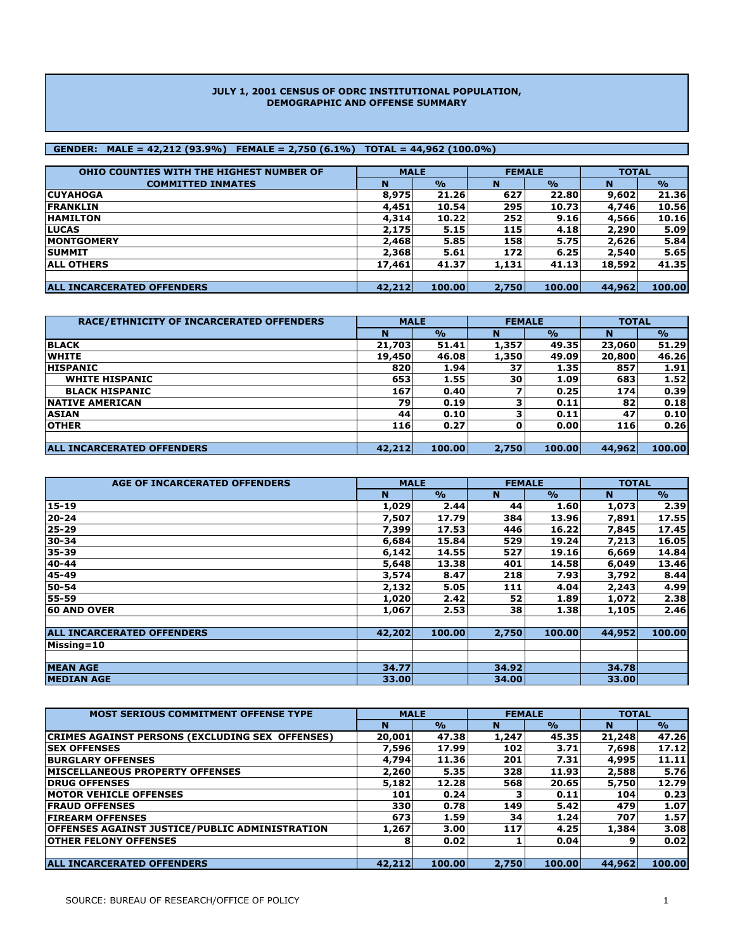#### **JULY 1, 2001 CENSUS OF ODRC INSTITUTIONAL POPULATION, DEMOGRAPHIC AND OFFENSE SUMMARY**

### **GENDER: MALE = 42,212 (93.9%) FEMALE = 2,750 (6.1%) TOTAL = 44,962 (100.0%)**

| OHIO COUNTIES WITH THE HIGHEST NUMBER OF | <b>MALE</b> |               | <b>FEMALE</b> |               | <b>TOTAL</b> |               |  |
|------------------------------------------|-------------|---------------|---------------|---------------|--------------|---------------|--|
| <b>COMMITTED INMATES</b>                 | N           | $\frac{1}{2}$ | N             | $\frac{1}{2}$ | N            | $\frac{1}{2}$ |  |
| <b>CUYAHOGA</b>                          | 8,975       | 21.26         | 627           | 22.80         | 9,602        | 21.36         |  |
| <b>IFRANKLIN</b>                         | 4,451       | 10.54         | 295           | 10.73         | 4,746        | 10.56         |  |
| <b>HAMILTON</b>                          | 4,314       | 10.22         | 252           | 9.16          | 4,566        | 10.16         |  |
| <b>ILUCAS</b>                            | 2,175       | 5.15          | 115           | 4.18          | 2,290        | 5.09          |  |
| <b>IMONTGOMERY</b>                       | 2,468       | 5.85          | 158           | 5.75          | 2,626        | 5.84          |  |
| <b>SUMMIT</b>                            | 2,368       | 5.61          | 172           | 6.25          | 2,540        | 5.65          |  |
| <b>ALL OTHERS</b>                        | 17,461      | 41.37         | 1,131         | 41.13         | 18,592       | 41.35         |  |
|                                          |             |               |               |               |              |               |  |
| <b>ALL INCARCERATED OFFENDERS</b>        | 42,212      | 100.00        | 2,750         | 100.00        | 44,962       | 100.00        |  |

| RACE/ETHNICITY OF INCARCERATED OFFENDERS | <b>MALE</b> |               |       | <b>FEMALE</b> | <b>TOTAL</b> |               |  |
|------------------------------------------|-------------|---------------|-------|---------------|--------------|---------------|--|
|                                          | N           | $\frac{1}{2}$ | N     | $\frac{1}{2}$ | N            | $\frac{1}{2}$ |  |
| <b>BLACK</b>                             | 21,703      | 51.41         | 1,357 | 49.35         | 23,060       | 51.29         |  |
| <b>WHITE</b>                             | 19,450      | 46.08         | 1,350 | 49.09         | 20,800       | 46.26         |  |
| <b>HISPANIC</b>                          | 820         | 1.94          | 37    | 1.35          | 857          | 1.91          |  |
| <b>WHITE HISPANIC</b>                    | 653         | 1.55          | 30    | 1.09          | 683          | 1.52          |  |
| <b>BLACK HISPANIC</b>                    | 167         | 0.40          |       | 0.25          | 174          | 0.39          |  |
| <b>INATIVE AMERICAN</b>                  | 79          | 0.19          |       | 0.11          | 82           | 0.18          |  |
| <b>ASIAN</b>                             | 44          | 0.10          |       | 0.11          | 47           | 0.10          |  |
| <b>OTHER</b>                             | 116         | 0.27          |       | 0.00          | 116          | 0.26          |  |
|                                          |             |               |       |               |              |               |  |
| <b>ALL INCARCERATED OFFENDERS</b>        | 42.212      | 100.00        | 2,750 | 100.00        | 44,962       | 100.00        |  |

| <b>AGE OF INCARCERATED OFFENDERS</b> | <b>MALE</b> |               | <b>FEMALE</b> |               | <b>TOTAL</b> |               |  |
|--------------------------------------|-------------|---------------|---------------|---------------|--------------|---------------|--|
|                                      | N           | $\frac{9}{6}$ | N             | $\frac{1}{2}$ | N            | $\frac{1}{2}$ |  |
| 15-19                                | 1,029       | 2.44          | 44            | 1.60          | 1,073        | 2.39          |  |
| $20 - 24$                            | 7,507       | 17.79         | 384           | 13.96         | 7,891        | 17.55         |  |
| 25-29                                | 7,399       | 17.53         | 446           | 16.22         | 7,845        | 17.45         |  |
| 30-34                                | 6,684       | 15.84         | 529           | 19.24         | 7,213        | 16.05         |  |
| 35-39                                | 6,142       | 14.55         | 527           | 19.16         | 6,669        | 14.84         |  |
| 40-44                                | 5,648       | 13.38         | 401           | 14.58         | 6,049        | 13.46         |  |
| 45-49                                | 3,574       | 8.47          | 218           | 7.93          | 3,792        | 8.44          |  |
| 50-54                                | 2,132       | 5.05          | 111           | 4.04          | 2,243        | 4.99          |  |
| 55-59                                | 1,020       | 2.42          | 52            | 1.89          | 1,072        | 2.38          |  |
| <b>60 AND OVER</b>                   | 1,067       | 2.53          | 38            | 1.38          | 1,105        | 2.46          |  |
|                                      |             |               |               |               |              |               |  |
| <b>ALL INCARCERATED OFFENDERS</b>    | 42,202      | 100.00        | 2,750         | 100.00        | 44,952       | 100.00        |  |
| Missing=10                           |             |               |               |               |              |               |  |
|                                      |             |               |               |               |              |               |  |
| <b>MEAN AGE</b>                      | 34.77       |               | 34.92         |               | 34.78        |               |  |
| <b>MEDIAN AGE</b>                    | 33.00       |               | 34.00         |               | 33.00        |               |  |

| <b>MOST SERIOUS COMMITMENT OFFENSE TYPE</b>           | <b>MALE</b> |               |       | <b>FEMALE</b>      | <b>TOTAL</b> |               |  |
|-------------------------------------------------------|-------------|---------------|-------|--------------------|--------------|---------------|--|
|                                                       | N           | $\frac{1}{2}$ | N     | $\frac{0}{\alpha}$ | N            | $\frac{1}{2}$ |  |
| CRIMES AGAINST PERSONS (EXCLUDING SEX OFFENSES)       | 20,001      | 47.38         | 1,247 | 45.35              | 21,248       | 47.26         |  |
| <b>SEX OFFENSES</b>                                   | 7,596       | 17.99         | 102   | 3.71               | 7,698        | 17.12         |  |
| <b>BURGLARY OFFENSES</b>                              | 4,794       | 11.36         | 201   | 7.31               | 4,995        | 11.11         |  |
| <b>IMISCELLANEOUS PROPERTY OFFENSES</b>               | 2,260       | 5.35          | 328   | 11.93              | 2,588        | 5.76          |  |
| <b>IDRUG OFFENSES</b>                                 | 5,182       | 12.28         | 568   | 20.65              | 5,750        | 12.79         |  |
| <b>IMOTOR VEHICLE OFFENSES</b>                        | 101         | 0.24          |       | 0.11               | 104          | 0.23          |  |
| <b>FRAUD OFFENSES</b>                                 | 330         | 0.78          | 149   | 5.42               | 479          | 1.07          |  |
| <b>FIREARM OFFENSES</b>                               | 673         | 1.59          | 34    | 1.24               | 707          | 1.57          |  |
| <b>OFFENSES AGAINST JUSTICE/PUBLIC ADMINISTRATION</b> | 1,267       | 3.00          | 117   | 4.25               | 1,384        | 3.08          |  |
| <b>IOTHER FELONY OFFENSES</b>                         | 8           | 0.02          |       | 0.04               |              | 0.02          |  |
|                                                       |             |               |       |                    |              |               |  |
| <b>ALL INCARCERATED OFFENDERS</b>                     | 42,212      | 100.00        | 2,750 | 100.00             | 44,962       | 100.00        |  |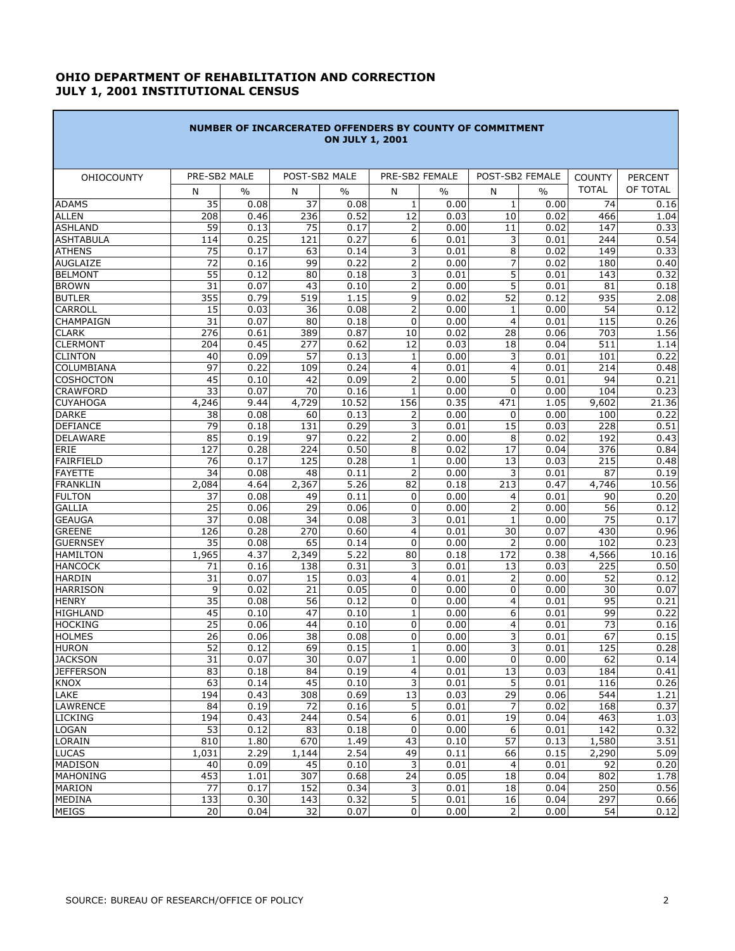# **OHIO DEPARTMENT OF REHABILITATION AND CORRECTION JULY 1, 2001 INSTITUTIONAL CENSUS**

 $\mathcal{L}^{\mathcal{L}}(\mathcal{L}^{\mathcal{L}}(\mathcal{L}^{\mathcal{L}}(\mathcal{L}^{\mathcal{L}}(\mathcal{L}^{\mathcal{L}}(\mathcal{L}^{\mathcal{L}}(\mathcal{L}^{\mathcal{L}}(\mathcal{L}^{\mathcal{L}}(\mathcal{L}^{\mathcal{L}}(\mathcal{L}^{\mathcal{L}}(\mathcal{L}^{\mathcal{L}}(\mathcal{L}^{\mathcal{L}}(\mathcal{L}^{\mathcal{L}}(\mathcal{L}^{\mathcal{L}}(\mathcal{L}^{\mathcal{L}}(\mathcal{L}^{\mathcal{L}}(\mathcal{L}^{\mathcal{L$ 

| PRE-SB2 MALE<br>POST-SB2 MALE<br>PRE-SB2 FEMALE<br>POST-SB2 FEMALE<br><b>COUNTY</b><br><b>OHIOCOUNTY</b><br><b>PERCENT</b><br><b>TOTAL</b><br>OF TOTAL<br>$\frac{0}{0}$<br>N<br>$\frac{0}{0}$<br>$\frac{0}{0}$<br>N<br>N<br>$\%$<br>N<br>35<br>37<br>0.08<br>0.08<br>$\mathbf{1}$<br>$\mathbf{1}$<br>74<br><b>ADAMS</b><br>0.00<br>0.00<br>0.16<br>208<br>236<br>0.52<br>12<br>466<br><b>ALLEN</b><br>0.46<br>0.03<br>10<br>0.02<br>1.04<br>75<br>$\overline{2}$<br>59<br>0.13<br>0.17<br>0.00<br>147<br>0.33<br><b>ASHLAND</b><br>11<br>0.02<br><b>ASHTABULA</b><br>0.25<br>121<br>0.27<br>6<br>0.01<br>3<br>0.01<br>244<br>0.54<br>114<br>3<br>8<br>75<br>0.17<br>63<br>0.14<br>0.01<br>0.02<br>149<br>0.33<br>$\overline{2}$<br>$\overline{7}$<br>99<br>72<br>0.16<br>0.22<br>0.00<br>0.02<br>180<br>0.40<br>55<br>3<br>5<br>80<br>0.32<br>0.12<br>0.18<br>0.01<br>0.01<br>143<br>$\overline{2}$<br>5<br>31<br>43<br>0.07<br>0.10<br>0.00<br>0.01<br>81<br>0.18<br>355<br>9<br>$\overline{52}$<br>0.79<br>519<br>1.15<br>0.02<br>0.12<br>935<br>2.08<br>$\overline{2}$<br>CARROLL<br>15<br>0.03<br>36<br>0.08<br>0.00<br>0.00<br>54<br>0.12<br>1<br>$\overline{0}$<br>4<br>31<br>0.07<br>80<br>0.18<br>0.00<br>0.01<br>115<br>0.26<br>276<br>0.61<br>389<br>0.87<br>10<br>0.02<br>28<br>703<br>1.56<br>0.06<br>0.45<br>0.03<br>511<br>204<br>277<br>0.62<br>12<br>18<br>0.04<br>1.14<br>3<br>0.22<br>40<br>0.09<br>57<br>0.13<br>$\mathbf 1$<br>0.00<br>0.01<br>101<br>97<br>4<br>4<br>109<br>0.24<br>214<br>0.48<br>0.22<br>0.01<br>0.01<br>45<br>$\overline{2}$<br>5<br>0.10<br>42<br>0.09<br>0.00<br>0.01<br>94<br>0.21<br>33<br>0.07<br>70<br>$\mathbf{1}$<br>0.00<br>$\mathbf 0$<br>0.23<br>0.16<br>0.00<br>104<br>10.52<br>156<br>0.35<br>4,246<br>9.44<br>4,729<br>471<br>1.05<br>9,602<br>21.36<br>0.08<br>60<br>0.13<br>2<br>0.00<br>$\mathbf 0$<br>0.00<br>100<br>0.22<br>38<br>3<br>15<br>79<br>131<br>0.29<br>228<br>0.51<br>0.18<br>0.01<br>0.03<br>$\overline{2}$<br>0.22<br>85<br>0.19<br>97<br>0.00<br>8<br>0.02<br>192<br>0.43<br>0.50<br>8<br>0.84<br>127<br>0.28<br>224<br>0.02<br>17<br>0.04<br>376<br>76<br>0.17<br>125<br>0.28<br>$\mathbf{1}$<br>0.00<br>13<br>0.03<br>215<br>0.48<br>$\overline{2}$<br>3<br>34<br>0.08<br>0.11<br>0.00<br>87<br>0.19<br>48<br>0.01<br><b>FRANKLIN</b><br>4.64<br>2,367<br>5.26<br>82<br>0.18<br>213<br>0.47<br>4,746<br>10.56<br>2,084<br><b>FULTON</b><br>0.08<br>49<br>0.11<br>0.00<br>4<br>90<br>37<br>0<br>0.01<br>29<br>0<br>$\overline{2}$<br><b>GALLIA</b><br>25<br>0.06<br>0.06<br>0.00<br>0.00<br>56<br>0.12<br>3<br>37<br>34<br>0.08<br>75<br>0.17<br><b>GEAUGA</b><br>0.08<br>0.01<br>1<br>0.00<br>$\overline{4}$<br>30<br><b>GREENE</b><br>126<br>0.28<br>270<br>0.60<br>0.01<br>0.07<br>430<br>0.96<br>0.08<br>65<br>0.14<br>0<br>0.00<br>102<br>0.23<br><b>GUERNSEY</b><br>35<br>2<br>0.00<br>1,965<br>4.37<br>2,349<br>5.22<br>80<br>0.18<br>172<br>4,566<br>10.16<br><b>HAMILTON</b><br>0.38<br>3<br>138<br>0.31<br>0.01<br>13<br>0.03<br>225<br>0.50<br><b>HANCOCK</b><br>71<br>0.16<br>4<br><b>HARDIN</b><br>31<br>0.07<br>15<br>0.03<br>0.01<br>$\overline{2}$<br>52<br>0.12<br>0.00<br>0.02<br>21<br>0.05<br>0<br>0.00<br><b>HARRISON</b><br>9<br>0<br>0.00<br>30<br>0.07<br>35<br>$\overline{56}$<br>$\boldsymbol{0}$<br>4<br><b>HENRY</b><br>0.08<br>0.12<br>0.00<br>0.01<br>95<br>0.21<br>45<br>47<br>6<br>99<br>0.22<br><b>HIGHLAND</b><br>0.10<br>0.10<br>1<br>0.00<br>0.01<br>25<br>44<br>$\mathbf 0$<br>4<br>$\overline{73}$<br><b>HOCKING</b><br>0.06<br>0.10<br>0.00<br>0.01<br>0.16<br>3<br><b>HOLMES</b><br>26<br>38<br>0.08<br>0<br>0.00<br>0.01<br>67<br>0.15<br>0.06<br>52<br>3<br>0.12<br>69<br>0.15<br>$\mathbf 1$<br>0.00<br>125<br>0.28<br><b>HURON</b><br>0.01<br>$\overline{31}$<br>30<br>0.07<br>$\mathsf 0$<br><b>JACKSON</b><br>0.07<br>$\overline{1}$<br>0.00<br>0.00<br>62<br>4<br>13<br><b>JEFFERSON</b><br>83<br>0.18<br>84<br>0.19<br>0.01<br>0.03<br>184<br>0.41<br>63<br>45<br>3<br>5<br><b>KNOX</b><br>0.14<br>0.10<br>0.01<br>0.01<br>116<br>LAKE<br>13<br>29<br>544<br>1.21<br>194<br>0.43<br>308<br>0.69<br>0.03<br>0.06<br>5<br><b>LAWRENCE</b><br>84<br>0.19<br>72<br>0.16<br>0.01<br>7<br>0.02<br>168<br>0.37<br>6<br>0.54<br>19<br><b>LICKING</b><br>194<br>0.43<br>244<br>0.01<br>0.04<br>463<br>1.03<br>0<br>6<br>0.32<br><b>LOGAN</b><br>53<br>0.12<br>83<br>0.18<br>0.00<br>0.01<br>142<br>43<br>57<br>3.51<br>LORAIN<br>810<br>1.80<br>670<br>1.49<br>0.10<br>0.13<br>1,580<br><b>LUCAS</b><br>2.29<br>2.54<br>49<br>66<br>5.09<br>1,031<br>1,144<br>0.11<br>0.15<br>2,290<br>3<br><b>MADISON</b><br>0.09<br>45<br>0.10<br>0.01<br>4<br>0.01<br>92<br>40<br>MAHONING<br>453<br>307<br>0.68<br>24<br>0.05<br>18<br>802<br>1.78<br>1.01<br>0.04<br>3<br>0.56<br><b>MARION</b><br>77<br>0.17<br>152<br>0.34<br>0.01<br>18<br>0.04<br>250<br>MEDINA<br>5<br>133<br>0.30<br>143<br>0.32<br>0.01<br>16<br>0.04<br>297 | NUMBER OF INCARCERATED OFFENDERS BY COUNTY OF COMMITMENT<br><b>ON JULY 1, 2001</b> |    |      |    |      |   |      |   |      |    |      |  |  |  |
|-------------------------------------------------------------------------------------------------------------------------------------------------------------------------------------------------------------------------------------------------------------------------------------------------------------------------------------------------------------------------------------------------------------------------------------------------------------------------------------------------------------------------------------------------------------------------------------------------------------------------------------------------------------------------------------------------------------------------------------------------------------------------------------------------------------------------------------------------------------------------------------------------------------------------------------------------------------------------------------------------------------------------------------------------------------------------------------------------------------------------------------------------------------------------------------------------------------------------------------------------------------------------------------------------------------------------------------------------------------------------------------------------------------------------------------------------------------------------------------------------------------------------------------------------------------------------------------------------------------------------------------------------------------------------------------------------------------------------------------------------------------------------------------------------------------------------------------------------------------------------------------------------------------------------------------------------------------------------------------------------------------------------------------------------------------------------------------------------------------------------------------------------------------------------------------------------------------------------------------------------------------------------------------------------------------------------------------------------------------------------------------------------------------------------------------------------------------------------------------------------------------------------------------------------------------------------------------------------------------------------------------------------------------------------------------------------------------------------------------------------------------------------------------------------------------------------------------------------------------------------------------------------------------------------------------------------------------------------------------------------------------------------------------------------------------------------------------------------------------------------------------------------------------------------------------------------------------------------------------------------------------------------------------------------------------------------------------------------------------------------------------------------------------------------------------------------------------------------------------------------------------------------------------------------------------------------------------------------------------------------------------------------------------------------------------------------------------------------------------------------------------------------------------------------------------------------------------------------------------------------------------------------------------------------------------------------------------------------------------------------------------------------------------------------------------------------------------------------------------------------------------------------------------------------------------------------------------------------------------------------------------------------------------------------------------------------------------------------------------------------------------------------------------------------------------------------------------------------------------------------------------------------------------------------------------------------------------------------------------------------------------------------------------------------------------------------------------------------------------------------------------------------------------------------------------------------------------------------------------------------------------------------------------------------------------------|------------------------------------------------------------------------------------|----|------|----|------|---|------|---|------|----|------|--|--|--|
|                                                                                                                                                                                                                                                                                                                                                                                                                                                                                                                                                                                                                                                                                                                                                                                                                                                                                                                                                                                                                                                                                                                                                                                                                                                                                                                                                                                                                                                                                                                                                                                                                                                                                                                                                                                                                                                                                                                                                                                                                                                                                                                                                                                                                                                                                                                                                                                                                                                                                                                                                                                                                                                                                                                                                                                                                                                                                                                                                                                                                                                                                                                                                                                                                                                                                                                                                                                                                                                                                                                                                                                                                                                                                                                                                                                                                                                                                                                                                                                                                                                                                                                                                                                                                                                                                                                                                                                                                                                                                                                                                                                                                                                                                                                                                                                                                                                                                                                                           |                                                                                    |    |      |    |      |   |      |   |      |    |      |  |  |  |
| 0.20<br>0.14<br>0.26<br>0.20<br>0.66                                                                                                                                                                                                                                                                                                                                                                                                                                                                                                                                                                                                                                                                                                                                                                                                                                                                                                                                                                                                                                                                                                                                                                                                                                                                                                                                                                                                                                                                                                                                                                                                                                                                                                                                                                                                                                                                                                                                                                                                                                                                                                                                                                                                                                                                                                                                                                                                                                                                                                                                                                                                                                                                                                                                                                                                                                                                                                                                                                                                                                                                                                                                                                                                                                                                                                                                                                                                                                                                                                                                                                                                                                                                                                                                                                                                                                                                                                                                                                                                                                                                                                                                                                                                                                                                                                                                                                                                                                                                                                                                                                                                                                                                                                                                                                                                                                                                                                      |                                                                                    |    |      |    |      |   |      |   |      |    |      |  |  |  |
|                                                                                                                                                                                                                                                                                                                                                                                                                                                                                                                                                                                                                                                                                                                                                                                                                                                                                                                                                                                                                                                                                                                                                                                                                                                                                                                                                                                                                                                                                                                                                                                                                                                                                                                                                                                                                                                                                                                                                                                                                                                                                                                                                                                                                                                                                                                                                                                                                                                                                                                                                                                                                                                                                                                                                                                                                                                                                                                                                                                                                                                                                                                                                                                                                                                                                                                                                                                                                                                                                                                                                                                                                                                                                                                                                                                                                                                                                                                                                                                                                                                                                                                                                                                                                                                                                                                                                                                                                                                                                                                                                                                                                                                                                                                                                                                                                                                                                                                                           |                                                                                    |    |      |    |      |   |      |   |      |    |      |  |  |  |
|                                                                                                                                                                                                                                                                                                                                                                                                                                                                                                                                                                                                                                                                                                                                                                                                                                                                                                                                                                                                                                                                                                                                                                                                                                                                                                                                                                                                                                                                                                                                                                                                                                                                                                                                                                                                                                                                                                                                                                                                                                                                                                                                                                                                                                                                                                                                                                                                                                                                                                                                                                                                                                                                                                                                                                                                                                                                                                                                                                                                                                                                                                                                                                                                                                                                                                                                                                                                                                                                                                                                                                                                                                                                                                                                                                                                                                                                                                                                                                                                                                                                                                                                                                                                                                                                                                                                                                                                                                                                                                                                                                                                                                                                                                                                                                                                                                                                                                                                           |                                                                                    |    |      |    |      |   |      |   |      |    |      |  |  |  |
|                                                                                                                                                                                                                                                                                                                                                                                                                                                                                                                                                                                                                                                                                                                                                                                                                                                                                                                                                                                                                                                                                                                                                                                                                                                                                                                                                                                                                                                                                                                                                                                                                                                                                                                                                                                                                                                                                                                                                                                                                                                                                                                                                                                                                                                                                                                                                                                                                                                                                                                                                                                                                                                                                                                                                                                                                                                                                                                                                                                                                                                                                                                                                                                                                                                                                                                                                                                                                                                                                                                                                                                                                                                                                                                                                                                                                                                                                                                                                                                                                                                                                                                                                                                                                                                                                                                                                                                                                                                                                                                                                                                                                                                                                                                                                                                                                                                                                                                                           |                                                                                    |    |      |    |      |   |      |   |      |    |      |  |  |  |
|                                                                                                                                                                                                                                                                                                                                                                                                                                                                                                                                                                                                                                                                                                                                                                                                                                                                                                                                                                                                                                                                                                                                                                                                                                                                                                                                                                                                                                                                                                                                                                                                                                                                                                                                                                                                                                                                                                                                                                                                                                                                                                                                                                                                                                                                                                                                                                                                                                                                                                                                                                                                                                                                                                                                                                                                                                                                                                                                                                                                                                                                                                                                                                                                                                                                                                                                                                                                                                                                                                                                                                                                                                                                                                                                                                                                                                                                                                                                                                                                                                                                                                                                                                                                                                                                                                                                                                                                                                                                                                                                                                                                                                                                                                                                                                                                                                                                                                                                           |                                                                                    |    |      |    |      |   |      |   |      |    |      |  |  |  |
|                                                                                                                                                                                                                                                                                                                                                                                                                                                                                                                                                                                                                                                                                                                                                                                                                                                                                                                                                                                                                                                                                                                                                                                                                                                                                                                                                                                                                                                                                                                                                                                                                                                                                                                                                                                                                                                                                                                                                                                                                                                                                                                                                                                                                                                                                                                                                                                                                                                                                                                                                                                                                                                                                                                                                                                                                                                                                                                                                                                                                                                                                                                                                                                                                                                                                                                                                                                                                                                                                                                                                                                                                                                                                                                                                                                                                                                                                                                                                                                                                                                                                                                                                                                                                                                                                                                                                                                                                                                                                                                                                                                                                                                                                                                                                                                                                                                                                                                                           | <b>ATHENS</b>                                                                      |    |      |    |      |   |      |   |      |    |      |  |  |  |
|                                                                                                                                                                                                                                                                                                                                                                                                                                                                                                                                                                                                                                                                                                                                                                                                                                                                                                                                                                                                                                                                                                                                                                                                                                                                                                                                                                                                                                                                                                                                                                                                                                                                                                                                                                                                                                                                                                                                                                                                                                                                                                                                                                                                                                                                                                                                                                                                                                                                                                                                                                                                                                                                                                                                                                                                                                                                                                                                                                                                                                                                                                                                                                                                                                                                                                                                                                                                                                                                                                                                                                                                                                                                                                                                                                                                                                                                                                                                                                                                                                                                                                                                                                                                                                                                                                                                                                                                                                                                                                                                                                                                                                                                                                                                                                                                                                                                                                                                           | <b>AUGLAIZE</b>                                                                    |    |      |    |      |   |      |   |      |    |      |  |  |  |
|                                                                                                                                                                                                                                                                                                                                                                                                                                                                                                                                                                                                                                                                                                                                                                                                                                                                                                                                                                                                                                                                                                                                                                                                                                                                                                                                                                                                                                                                                                                                                                                                                                                                                                                                                                                                                                                                                                                                                                                                                                                                                                                                                                                                                                                                                                                                                                                                                                                                                                                                                                                                                                                                                                                                                                                                                                                                                                                                                                                                                                                                                                                                                                                                                                                                                                                                                                                                                                                                                                                                                                                                                                                                                                                                                                                                                                                                                                                                                                                                                                                                                                                                                                                                                                                                                                                                                                                                                                                                                                                                                                                                                                                                                                                                                                                                                                                                                                                                           | <b>BELMONT</b>                                                                     |    |      |    |      |   |      |   |      |    |      |  |  |  |
|                                                                                                                                                                                                                                                                                                                                                                                                                                                                                                                                                                                                                                                                                                                                                                                                                                                                                                                                                                                                                                                                                                                                                                                                                                                                                                                                                                                                                                                                                                                                                                                                                                                                                                                                                                                                                                                                                                                                                                                                                                                                                                                                                                                                                                                                                                                                                                                                                                                                                                                                                                                                                                                                                                                                                                                                                                                                                                                                                                                                                                                                                                                                                                                                                                                                                                                                                                                                                                                                                                                                                                                                                                                                                                                                                                                                                                                                                                                                                                                                                                                                                                                                                                                                                                                                                                                                                                                                                                                                                                                                                                                                                                                                                                                                                                                                                                                                                                                                           | <b>BROWN</b>                                                                       |    |      |    |      |   |      |   |      |    |      |  |  |  |
|                                                                                                                                                                                                                                                                                                                                                                                                                                                                                                                                                                                                                                                                                                                                                                                                                                                                                                                                                                                                                                                                                                                                                                                                                                                                                                                                                                                                                                                                                                                                                                                                                                                                                                                                                                                                                                                                                                                                                                                                                                                                                                                                                                                                                                                                                                                                                                                                                                                                                                                                                                                                                                                                                                                                                                                                                                                                                                                                                                                                                                                                                                                                                                                                                                                                                                                                                                                                                                                                                                                                                                                                                                                                                                                                                                                                                                                                                                                                                                                                                                                                                                                                                                                                                                                                                                                                                                                                                                                                                                                                                                                                                                                                                                                                                                                                                                                                                                                                           | <b>BUTLER</b>                                                                      |    |      |    |      |   |      |   |      |    |      |  |  |  |
|                                                                                                                                                                                                                                                                                                                                                                                                                                                                                                                                                                                                                                                                                                                                                                                                                                                                                                                                                                                                                                                                                                                                                                                                                                                                                                                                                                                                                                                                                                                                                                                                                                                                                                                                                                                                                                                                                                                                                                                                                                                                                                                                                                                                                                                                                                                                                                                                                                                                                                                                                                                                                                                                                                                                                                                                                                                                                                                                                                                                                                                                                                                                                                                                                                                                                                                                                                                                                                                                                                                                                                                                                                                                                                                                                                                                                                                                                                                                                                                                                                                                                                                                                                                                                                                                                                                                                                                                                                                                                                                                                                                                                                                                                                                                                                                                                                                                                                                                           |                                                                                    |    |      |    |      |   |      |   |      |    |      |  |  |  |
|                                                                                                                                                                                                                                                                                                                                                                                                                                                                                                                                                                                                                                                                                                                                                                                                                                                                                                                                                                                                                                                                                                                                                                                                                                                                                                                                                                                                                                                                                                                                                                                                                                                                                                                                                                                                                                                                                                                                                                                                                                                                                                                                                                                                                                                                                                                                                                                                                                                                                                                                                                                                                                                                                                                                                                                                                                                                                                                                                                                                                                                                                                                                                                                                                                                                                                                                                                                                                                                                                                                                                                                                                                                                                                                                                                                                                                                                                                                                                                                                                                                                                                                                                                                                                                                                                                                                                                                                                                                                                                                                                                                                                                                                                                                                                                                                                                                                                                                                           | <b>CHAMPAIGN</b>                                                                   |    |      |    |      |   |      |   |      |    |      |  |  |  |
|                                                                                                                                                                                                                                                                                                                                                                                                                                                                                                                                                                                                                                                                                                                                                                                                                                                                                                                                                                                                                                                                                                                                                                                                                                                                                                                                                                                                                                                                                                                                                                                                                                                                                                                                                                                                                                                                                                                                                                                                                                                                                                                                                                                                                                                                                                                                                                                                                                                                                                                                                                                                                                                                                                                                                                                                                                                                                                                                                                                                                                                                                                                                                                                                                                                                                                                                                                                                                                                                                                                                                                                                                                                                                                                                                                                                                                                                                                                                                                                                                                                                                                                                                                                                                                                                                                                                                                                                                                                                                                                                                                                                                                                                                                                                                                                                                                                                                                                                           | <b>CLARK</b>                                                                       |    |      |    |      |   |      |   |      |    |      |  |  |  |
|                                                                                                                                                                                                                                                                                                                                                                                                                                                                                                                                                                                                                                                                                                                                                                                                                                                                                                                                                                                                                                                                                                                                                                                                                                                                                                                                                                                                                                                                                                                                                                                                                                                                                                                                                                                                                                                                                                                                                                                                                                                                                                                                                                                                                                                                                                                                                                                                                                                                                                                                                                                                                                                                                                                                                                                                                                                                                                                                                                                                                                                                                                                                                                                                                                                                                                                                                                                                                                                                                                                                                                                                                                                                                                                                                                                                                                                                                                                                                                                                                                                                                                                                                                                                                                                                                                                                                                                                                                                                                                                                                                                                                                                                                                                                                                                                                                                                                                                                           | <b>CLERMONT</b>                                                                    |    |      |    |      |   |      |   |      |    |      |  |  |  |
|                                                                                                                                                                                                                                                                                                                                                                                                                                                                                                                                                                                                                                                                                                                                                                                                                                                                                                                                                                                                                                                                                                                                                                                                                                                                                                                                                                                                                                                                                                                                                                                                                                                                                                                                                                                                                                                                                                                                                                                                                                                                                                                                                                                                                                                                                                                                                                                                                                                                                                                                                                                                                                                                                                                                                                                                                                                                                                                                                                                                                                                                                                                                                                                                                                                                                                                                                                                                                                                                                                                                                                                                                                                                                                                                                                                                                                                                                                                                                                                                                                                                                                                                                                                                                                                                                                                                                                                                                                                                                                                                                                                                                                                                                                                                                                                                                                                                                                                                           | <b>CLINTON</b>                                                                     |    |      |    |      |   |      |   |      |    |      |  |  |  |
|                                                                                                                                                                                                                                                                                                                                                                                                                                                                                                                                                                                                                                                                                                                                                                                                                                                                                                                                                                                                                                                                                                                                                                                                                                                                                                                                                                                                                                                                                                                                                                                                                                                                                                                                                                                                                                                                                                                                                                                                                                                                                                                                                                                                                                                                                                                                                                                                                                                                                                                                                                                                                                                                                                                                                                                                                                                                                                                                                                                                                                                                                                                                                                                                                                                                                                                                                                                                                                                                                                                                                                                                                                                                                                                                                                                                                                                                                                                                                                                                                                                                                                                                                                                                                                                                                                                                                                                                                                                                                                                                                                                                                                                                                                                                                                                                                                                                                                                                           | COLUMBIANA                                                                         |    |      |    |      |   |      |   |      |    |      |  |  |  |
|                                                                                                                                                                                                                                                                                                                                                                                                                                                                                                                                                                                                                                                                                                                                                                                                                                                                                                                                                                                                                                                                                                                                                                                                                                                                                                                                                                                                                                                                                                                                                                                                                                                                                                                                                                                                                                                                                                                                                                                                                                                                                                                                                                                                                                                                                                                                                                                                                                                                                                                                                                                                                                                                                                                                                                                                                                                                                                                                                                                                                                                                                                                                                                                                                                                                                                                                                                                                                                                                                                                                                                                                                                                                                                                                                                                                                                                                                                                                                                                                                                                                                                                                                                                                                                                                                                                                                                                                                                                                                                                                                                                                                                                                                                                                                                                                                                                                                                                                           | <b>COSHOCTON</b>                                                                   |    |      |    |      |   |      |   |      |    |      |  |  |  |
|                                                                                                                                                                                                                                                                                                                                                                                                                                                                                                                                                                                                                                                                                                                                                                                                                                                                                                                                                                                                                                                                                                                                                                                                                                                                                                                                                                                                                                                                                                                                                                                                                                                                                                                                                                                                                                                                                                                                                                                                                                                                                                                                                                                                                                                                                                                                                                                                                                                                                                                                                                                                                                                                                                                                                                                                                                                                                                                                                                                                                                                                                                                                                                                                                                                                                                                                                                                                                                                                                                                                                                                                                                                                                                                                                                                                                                                                                                                                                                                                                                                                                                                                                                                                                                                                                                                                                                                                                                                                                                                                                                                                                                                                                                                                                                                                                                                                                                                                           | <b>CRAWFORD</b>                                                                    |    |      |    |      |   |      |   |      |    |      |  |  |  |
|                                                                                                                                                                                                                                                                                                                                                                                                                                                                                                                                                                                                                                                                                                                                                                                                                                                                                                                                                                                                                                                                                                                                                                                                                                                                                                                                                                                                                                                                                                                                                                                                                                                                                                                                                                                                                                                                                                                                                                                                                                                                                                                                                                                                                                                                                                                                                                                                                                                                                                                                                                                                                                                                                                                                                                                                                                                                                                                                                                                                                                                                                                                                                                                                                                                                                                                                                                                                                                                                                                                                                                                                                                                                                                                                                                                                                                                                                                                                                                                                                                                                                                                                                                                                                                                                                                                                                                                                                                                                                                                                                                                                                                                                                                                                                                                                                                                                                                                                           | <b>CUYAHOGA</b>                                                                    |    |      |    |      |   |      |   |      |    |      |  |  |  |
|                                                                                                                                                                                                                                                                                                                                                                                                                                                                                                                                                                                                                                                                                                                                                                                                                                                                                                                                                                                                                                                                                                                                                                                                                                                                                                                                                                                                                                                                                                                                                                                                                                                                                                                                                                                                                                                                                                                                                                                                                                                                                                                                                                                                                                                                                                                                                                                                                                                                                                                                                                                                                                                                                                                                                                                                                                                                                                                                                                                                                                                                                                                                                                                                                                                                                                                                                                                                                                                                                                                                                                                                                                                                                                                                                                                                                                                                                                                                                                                                                                                                                                                                                                                                                                                                                                                                                                                                                                                                                                                                                                                                                                                                                                                                                                                                                                                                                                                                           | <b>DARKE</b>                                                                       |    |      |    |      |   |      |   |      |    |      |  |  |  |
|                                                                                                                                                                                                                                                                                                                                                                                                                                                                                                                                                                                                                                                                                                                                                                                                                                                                                                                                                                                                                                                                                                                                                                                                                                                                                                                                                                                                                                                                                                                                                                                                                                                                                                                                                                                                                                                                                                                                                                                                                                                                                                                                                                                                                                                                                                                                                                                                                                                                                                                                                                                                                                                                                                                                                                                                                                                                                                                                                                                                                                                                                                                                                                                                                                                                                                                                                                                                                                                                                                                                                                                                                                                                                                                                                                                                                                                                                                                                                                                                                                                                                                                                                                                                                                                                                                                                                                                                                                                                                                                                                                                                                                                                                                                                                                                                                                                                                                                                           | <b>DEFIANCE</b>                                                                    |    |      |    |      |   |      |   |      |    |      |  |  |  |
|                                                                                                                                                                                                                                                                                                                                                                                                                                                                                                                                                                                                                                                                                                                                                                                                                                                                                                                                                                                                                                                                                                                                                                                                                                                                                                                                                                                                                                                                                                                                                                                                                                                                                                                                                                                                                                                                                                                                                                                                                                                                                                                                                                                                                                                                                                                                                                                                                                                                                                                                                                                                                                                                                                                                                                                                                                                                                                                                                                                                                                                                                                                                                                                                                                                                                                                                                                                                                                                                                                                                                                                                                                                                                                                                                                                                                                                                                                                                                                                                                                                                                                                                                                                                                                                                                                                                                                                                                                                                                                                                                                                                                                                                                                                                                                                                                                                                                                                                           | DELAWARE                                                                           |    |      |    |      |   |      |   |      |    |      |  |  |  |
|                                                                                                                                                                                                                                                                                                                                                                                                                                                                                                                                                                                                                                                                                                                                                                                                                                                                                                                                                                                                                                                                                                                                                                                                                                                                                                                                                                                                                                                                                                                                                                                                                                                                                                                                                                                                                                                                                                                                                                                                                                                                                                                                                                                                                                                                                                                                                                                                                                                                                                                                                                                                                                                                                                                                                                                                                                                                                                                                                                                                                                                                                                                                                                                                                                                                                                                                                                                                                                                                                                                                                                                                                                                                                                                                                                                                                                                                                                                                                                                                                                                                                                                                                                                                                                                                                                                                                                                                                                                                                                                                                                                                                                                                                                                                                                                                                                                                                                                                           | <b>ERIE</b>                                                                        |    |      |    |      |   |      |   |      |    |      |  |  |  |
|                                                                                                                                                                                                                                                                                                                                                                                                                                                                                                                                                                                                                                                                                                                                                                                                                                                                                                                                                                                                                                                                                                                                                                                                                                                                                                                                                                                                                                                                                                                                                                                                                                                                                                                                                                                                                                                                                                                                                                                                                                                                                                                                                                                                                                                                                                                                                                                                                                                                                                                                                                                                                                                                                                                                                                                                                                                                                                                                                                                                                                                                                                                                                                                                                                                                                                                                                                                                                                                                                                                                                                                                                                                                                                                                                                                                                                                                                                                                                                                                                                                                                                                                                                                                                                                                                                                                                                                                                                                                                                                                                                                                                                                                                                                                                                                                                                                                                                                                           | <b>FAIRFIELD</b>                                                                   |    |      |    |      |   |      |   |      |    |      |  |  |  |
|                                                                                                                                                                                                                                                                                                                                                                                                                                                                                                                                                                                                                                                                                                                                                                                                                                                                                                                                                                                                                                                                                                                                                                                                                                                                                                                                                                                                                                                                                                                                                                                                                                                                                                                                                                                                                                                                                                                                                                                                                                                                                                                                                                                                                                                                                                                                                                                                                                                                                                                                                                                                                                                                                                                                                                                                                                                                                                                                                                                                                                                                                                                                                                                                                                                                                                                                                                                                                                                                                                                                                                                                                                                                                                                                                                                                                                                                                                                                                                                                                                                                                                                                                                                                                                                                                                                                                                                                                                                                                                                                                                                                                                                                                                                                                                                                                                                                                                                                           | <b>FAYETTE</b>                                                                     |    |      |    |      |   |      |   |      |    |      |  |  |  |
|                                                                                                                                                                                                                                                                                                                                                                                                                                                                                                                                                                                                                                                                                                                                                                                                                                                                                                                                                                                                                                                                                                                                                                                                                                                                                                                                                                                                                                                                                                                                                                                                                                                                                                                                                                                                                                                                                                                                                                                                                                                                                                                                                                                                                                                                                                                                                                                                                                                                                                                                                                                                                                                                                                                                                                                                                                                                                                                                                                                                                                                                                                                                                                                                                                                                                                                                                                                                                                                                                                                                                                                                                                                                                                                                                                                                                                                                                                                                                                                                                                                                                                                                                                                                                                                                                                                                                                                                                                                                                                                                                                                                                                                                                                                                                                                                                                                                                                                                           |                                                                                    |    |      |    |      |   |      |   |      |    |      |  |  |  |
|                                                                                                                                                                                                                                                                                                                                                                                                                                                                                                                                                                                                                                                                                                                                                                                                                                                                                                                                                                                                                                                                                                                                                                                                                                                                                                                                                                                                                                                                                                                                                                                                                                                                                                                                                                                                                                                                                                                                                                                                                                                                                                                                                                                                                                                                                                                                                                                                                                                                                                                                                                                                                                                                                                                                                                                                                                                                                                                                                                                                                                                                                                                                                                                                                                                                                                                                                                                                                                                                                                                                                                                                                                                                                                                                                                                                                                                                                                                                                                                                                                                                                                                                                                                                                                                                                                                                                                                                                                                                                                                                                                                                                                                                                                                                                                                                                                                                                                                                           |                                                                                    |    |      |    |      |   |      |   |      |    |      |  |  |  |
|                                                                                                                                                                                                                                                                                                                                                                                                                                                                                                                                                                                                                                                                                                                                                                                                                                                                                                                                                                                                                                                                                                                                                                                                                                                                                                                                                                                                                                                                                                                                                                                                                                                                                                                                                                                                                                                                                                                                                                                                                                                                                                                                                                                                                                                                                                                                                                                                                                                                                                                                                                                                                                                                                                                                                                                                                                                                                                                                                                                                                                                                                                                                                                                                                                                                                                                                                                                                                                                                                                                                                                                                                                                                                                                                                                                                                                                                                                                                                                                                                                                                                                                                                                                                                                                                                                                                                                                                                                                                                                                                                                                                                                                                                                                                                                                                                                                                                                                                           |                                                                                    |    |      |    |      |   |      |   |      |    |      |  |  |  |
|                                                                                                                                                                                                                                                                                                                                                                                                                                                                                                                                                                                                                                                                                                                                                                                                                                                                                                                                                                                                                                                                                                                                                                                                                                                                                                                                                                                                                                                                                                                                                                                                                                                                                                                                                                                                                                                                                                                                                                                                                                                                                                                                                                                                                                                                                                                                                                                                                                                                                                                                                                                                                                                                                                                                                                                                                                                                                                                                                                                                                                                                                                                                                                                                                                                                                                                                                                                                                                                                                                                                                                                                                                                                                                                                                                                                                                                                                                                                                                                                                                                                                                                                                                                                                                                                                                                                                                                                                                                                                                                                                                                                                                                                                                                                                                                                                                                                                                                                           |                                                                                    |    |      |    |      |   |      |   |      |    |      |  |  |  |
|                                                                                                                                                                                                                                                                                                                                                                                                                                                                                                                                                                                                                                                                                                                                                                                                                                                                                                                                                                                                                                                                                                                                                                                                                                                                                                                                                                                                                                                                                                                                                                                                                                                                                                                                                                                                                                                                                                                                                                                                                                                                                                                                                                                                                                                                                                                                                                                                                                                                                                                                                                                                                                                                                                                                                                                                                                                                                                                                                                                                                                                                                                                                                                                                                                                                                                                                                                                                                                                                                                                                                                                                                                                                                                                                                                                                                                                                                                                                                                                                                                                                                                                                                                                                                                                                                                                                                                                                                                                                                                                                                                                                                                                                                                                                                                                                                                                                                                                                           |                                                                                    |    |      |    |      |   |      |   |      |    |      |  |  |  |
|                                                                                                                                                                                                                                                                                                                                                                                                                                                                                                                                                                                                                                                                                                                                                                                                                                                                                                                                                                                                                                                                                                                                                                                                                                                                                                                                                                                                                                                                                                                                                                                                                                                                                                                                                                                                                                                                                                                                                                                                                                                                                                                                                                                                                                                                                                                                                                                                                                                                                                                                                                                                                                                                                                                                                                                                                                                                                                                                                                                                                                                                                                                                                                                                                                                                                                                                                                                                                                                                                                                                                                                                                                                                                                                                                                                                                                                                                                                                                                                                                                                                                                                                                                                                                                                                                                                                                                                                                                                                                                                                                                                                                                                                                                                                                                                                                                                                                                                                           |                                                                                    |    |      |    |      |   |      |   |      |    |      |  |  |  |
|                                                                                                                                                                                                                                                                                                                                                                                                                                                                                                                                                                                                                                                                                                                                                                                                                                                                                                                                                                                                                                                                                                                                                                                                                                                                                                                                                                                                                                                                                                                                                                                                                                                                                                                                                                                                                                                                                                                                                                                                                                                                                                                                                                                                                                                                                                                                                                                                                                                                                                                                                                                                                                                                                                                                                                                                                                                                                                                                                                                                                                                                                                                                                                                                                                                                                                                                                                                                                                                                                                                                                                                                                                                                                                                                                                                                                                                                                                                                                                                                                                                                                                                                                                                                                                                                                                                                                                                                                                                                                                                                                                                                                                                                                                                                                                                                                                                                                                                                           |                                                                                    |    |      |    |      |   |      |   |      |    |      |  |  |  |
|                                                                                                                                                                                                                                                                                                                                                                                                                                                                                                                                                                                                                                                                                                                                                                                                                                                                                                                                                                                                                                                                                                                                                                                                                                                                                                                                                                                                                                                                                                                                                                                                                                                                                                                                                                                                                                                                                                                                                                                                                                                                                                                                                                                                                                                                                                                                                                                                                                                                                                                                                                                                                                                                                                                                                                                                                                                                                                                                                                                                                                                                                                                                                                                                                                                                                                                                                                                                                                                                                                                                                                                                                                                                                                                                                                                                                                                                                                                                                                                                                                                                                                                                                                                                                                                                                                                                                                                                                                                                                                                                                                                                                                                                                                                                                                                                                                                                                                                                           |                                                                                    |    |      |    |      |   |      |   |      |    |      |  |  |  |
|                                                                                                                                                                                                                                                                                                                                                                                                                                                                                                                                                                                                                                                                                                                                                                                                                                                                                                                                                                                                                                                                                                                                                                                                                                                                                                                                                                                                                                                                                                                                                                                                                                                                                                                                                                                                                                                                                                                                                                                                                                                                                                                                                                                                                                                                                                                                                                                                                                                                                                                                                                                                                                                                                                                                                                                                                                                                                                                                                                                                                                                                                                                                                                                                                                                                                                                                                                                                                                                                                                                                                                                                                                                                                                                                                                                                                                                                                                                                                                                                                                                                                                                                                                                                                                                                                                                                                                                                                                                                                                                                                                                                                                                                                                                                                                                                                                                                                                                                           |                                                                                    |    |      |    |      |   |      |   |      |    |      |  |  |  |
|                                                                                                                                                                                                                                                                                                                                                                                                                                                                                                                                                                                                                                                                                                                                                                                                                                                                                                                                                                                                                                                                                                                                                                                                                                                                                                                                                                                                                                                                                                                                                                                                                                                                                                                                                                                                                                                                                                                                                                                                                                                                                                                                                                                                                                                                                                                                                                                                                                                                                                                                                                                                                                                                                                                                                                                                                                                                                                                                                                                                                                                                                                                                                                                                                                                                                                                                                                                                                                                                                                                                                                                                                                                                                                                                                                                                                                                                                                                                                                                                                                                                                                                                                                                                                                                                                                                                                                                                                                                                                                                                                                                                                                                                                                                                                                                                                                                                                                                                           |                                                                                    |    |      |    |      |   |      |   |      |    |      |  |  |  |
|                                                                                                                                                                                                                                                                                                                                                                                                                                                                                                                                                                                                                                                                                                                                                                                                                                                                                                                                                                                                                                                                                                                                                                                                                                                                                                                                                                                                                                                                                                                                                                                                                                                                                                                                                                                                                                                                                                                                                                                                                                                                                                                                                                                                                                                                                                                                                                                                                                                                                                                                                                                                                                                                                                                                                                                                                                                                                                                                                                                                                                                                                                                                                                                                                                                                                                                                                                                                                                                                                                                                                                                                                                                                                                                                                                                                                                                                                                                                                                                                                                                                                                                                                                                                                                                                                                                                                                                                                                                                                                                                                                                                                                                                                                                                                                                                                                                                                                                                           |                                                                                    |    |      |    |      |   |      |   |      |    |      |  |  |  |
|                                                                                                                                                                                                                                                                                                                                                                                                                                                                                                                                                                                                                                                                                                                                                                                                                                                                                                                                                                                                                                                                                                                                                                                                                                                                                                                                                                                                                                                                                                                                                                                                                                                                                                                                                                                                                                                                                                                                                                                                                                                                                                                                                                                                                                                                                                                                                                                                                                                                                                                                                                                                                                                                                                                                                                                                                                                                                                                                                                                                                                                                                                                                                                                                                                                                                                                                                                                                                                                                                                                                                                                                                                                                                                                                                                                                                                                                                                                                                                                                                                                                                                                                                                                                                                                                                                                                                                                                                                                                                                                                                                                                                                                                                                                                                                                                                                                                                                                                           |                                                                                    |    |      |    |      |   |      |   |      |    |      |  |  |  |
|                                                                                                                                                                                                                                                                                                                                                                                                                                                                                                                                                                                                                                                                                                                                                                                                                                                                                                                                                                                                                                                                                                                                                                                                                                                                                                                                                                                                                                                                                                                                                                                                                                                                                                                                                                                                                                                                                                                                                                                                                                                                                                                                                                                                                                                                                                                                                                                                                                                                                                                                                                                                                                                                                                                                                                                                                                                                                                                                                                                                                                                                                                                                                                                                                                                                                                                                                                                                                                                                                                                                                                                                                                                                                                                                                                                                                                                                                                                                                                                                                                                                                                                                                                                                                                                                                                                                                                                                                                                                                                                                                                                                                                                                                                                                                                                                                                                                                                                                           |                                                                                    |    |      |    |      |   |      |   |      |    |      |  |  |  |
|                                                                                                                                                                                                                                                                                                                                                                                                                                                                                                                                                                                                                                                                                                                                                                                                                                                                                                                                                                                                                                                                                                                                                                                                                                                                                                                                                                                                                                                                                                                                                                                                                                                                                                                                                                                                                                                                                                                                                                                                                                                                                                                                                                                                                                                                                                                                                                                                                                                                                                                                                                                                                                                                                                                                                                                                                                                                                                                                                                                                                                                                                                                                                                                                                                                                                                                                                                                                                                                                                                                                                                                                                                                                                                                                                                                                                                                                                                                                                                                                                                                                                                                                                                                                                                                                                                                                                                                                                                                                                                                                                                                                                                                                                                                                                                                                                                                                                                                                           |                                                                                    |    |      |    |      |   |      |   |      |    |      |  |  |  |
|                                                                                                                                                                                                                                                                                                                                                                                                                                                                                                                                                                                                                                                                                                                                                                                                                                                                                                                                                                                                                                                                                                                                                                                                                                                                                                                                                                                                                                                                                                                                                                                                                                                                                                                                                                                                                                                                                                                                                                                                                                                                                                                                                                                                                                                                                                                                                                                                                                                                                                                                                                                                                                                                                                                                                                                                                                                                                                                                                                                                                                                                                                                                                                                                                                                                                                                                                                                                                                                                                                                                                                                                                                                                                                                                                                                                                                                                                                                                                                                                                                                                                                                                                                                                                                                                                                                                                                                                                                                                                                                                                                                                                                                                                                                                                                                                                                                                                                                                           |                                                                                    |    |      |    |      |   |      |   |      |    |      |  |  |  |
|                                                                                                                                                                                                                                                                                                                                                                                                                                                                                                                                                                                                                                                                                                                                                                                                                                                                                                                                                                                                                                                                                                                                                                                                                                                                                                                                                                                                                                                                                                                                                                                                                                                                                                                                                                                                                                                                                                                                                                                                                                                                                                                                                                                                                                                                                                                                                                                                                                                                                                                                                                                                                                                                                                                                                                                                                                                                                                                                                                                                                                                                                                                                                                                                                                                                                                                                                                                                                                                                                                                                                                                                                                                                                                                                                                                                                                                                                                                                                                                                                                                                                                                                                                                                                                                                                                                                                                                                                                                                                                                                                                                                                                                                                                                                                                                                                                                                                                                                           |                                                                                    |    |      |    |      |   |      |   |      |    |      |  |  |  |
|                                                                                                                                                                                                                                                                                                                                                                                                                                                                                                                                                                                                                                                                                                                                                                                                                                                                                                                                                                                                                                                                                                                                                                                                                                                                                                                                                                                                                                                                                                                                                                                                                                                                                                                                                                                                                                                                                                                                                                                                                                                                                                                                                                                                                                                                                                                                                                                                                                                                                                                                                                                                                                                                                                                                                                                                                                                                                                                                                                                                                                                                                                                                                                                                                                                                                                                                                                                                                                                                                                                                                                                                                                                                                                                                                                                                                                                                                                                                                                                                                                                                                                                                                                                                                                                                                                                                                                                                                                                                                                                                                                                                                                                                                                                                                                                                                                                                                                                                           |                                                                                    |    |      |    |      |   |      |   |      |    |      |  |  |  |
|                                                                                                                                                                                                                                                                                                                                                                                                                                                                                                                                                                                                                                                                                                                                                                                                                                                                                                                                                                                                                                                                                                                                                                                                                                                                                                                                                                                                                                                                                                                                                                                                                                                                                                                                                                                                                                                                                                                                                                                                                                                                                                                                                                                                                                                                                                                                                                                                                                                                                                                                                                                                                                                                                                                                                                                                                                                                                                                                                                                                                                                                                                                                                                                                                                                                                                                                                                                                                                                                                                                                                                                                                                                                                                                                                                                                                                                                                                                                                                                                                                                                                                                                                                                                                                                                                                                                                                                                                                                                                                                                                                                                                                                                                                                                                                                                                                                                                                                                           |                                                                                    |    |      |    |      |   |      |   |      |    |      |  |  |  |
|                                                                                                                                                                                                                                                                                                                                                                                                                                                                                                                                                                                                                                                                                                                                                                                                                                                                                                                                                                                                                                                                                                                                                                                                                                                                                                                                                                                                                                                                                                                                                                                                                                                                                                                                                                                                                                                                                                                                                                                                                                                                                                                                                                                                                                                                                                                                                                                                                                                                                                                                                                                                                                                                                                                                                                                                                                                                                                                                                                                                                                                                                                                                                                                                                                                                                                                                                                                                                                                                                                                                                                                                                                                                                                                                                                                                                                                                                                                                                                                                                                                                                                                                                                                                                                                                                                                                                                                                                                                                                                                                                                                                                                                                                                                                                                                                                                                                                                                                           |                                                                                    |    |      |    |      |   |      |   |      |    |      |  |  |  |
|                                                                                                                                                                                                                                                                                                                                                                                                                                                                                                                                                                                                                                                                                                                                                                                                                                                                                                                                                                                                                                                                                                                                                                                                                                                                                                                                                                                                                                                                                                                                                                                                                                                                                                                                                                                                                                                                                                                                                                                                                                                                                                                                                                                                                                                                                                                                                                                                                                                                                                                                                                                                                                                                                                                                                                                                                                                                                                                                                                                                                                                                                                                                                                                                                                                                                                                                                                                                                                                                                                                                                                                                                                                                                                                                                                                                                                                                                                                                                                                                                                                                                                                                                                                                                                                                                                                                                                                                                                                                                                                                                                                                                                                                                                                                                                                                                                                                                                                                           |                                                                                    |    |      |    |      |   |      |   |      |    |      |  |  |  |
|                                                                                                                                                                                                                                                                                                                                                                                                                                                                                                                                                                                                                                                                                                                                                                                                                                                                                                                                                                                                                                                                                                                                                                                                                                                                                                                                                                                                                                                                                                                                                                                                                                                                                                                                                                                                                                                                                                                                                                                                                                                                                                                                                                                                                                                                                                                                                                                                                                                                                                                                                                                                                                                                                                                                                                                                                                                                                                                                                                                                                                                                                                                                                                                                                                                                                                                                                                                                                                                                                                                                                                                                                                                                                                                                                                                                                                                                                                                                                                                                                                                                                                                                                                                                                                                                                                                                                                                                                                                                                                                                                                                                                                                                                                                                                                                                                                                                                                                                           |                                                                                    |    |      |    |      |   |      |   |      |    |      |  |  |  |
|                                                                                                                                                                                                                                                                                                                                                                                                                                                                                                                                                                                                                                                                                                                                                                                                                                                                                                                                                                                                                                                                                                                                                                                                                                                                                                                                                                                                                                                                                                                                                                                                                                                                                                                                                                                                                                                                                                                                                                                                                                                                                                                                                                                                                                                                                                                                                                                                                                                                                                                                                                                                                                                                                                                                                                                                                                                                                                                                                                                                                                                                                                                                                                                                                                                                                                                                                                                                                                                                                                                                                                                                                                                                                                                                                                                                                                                                                                                                                                                                                                                                                                                                                                                                                                                                                                                                                                                                                                                                                                                                                                                                                                                                                                                                                                                                                                                                                                                                           |                                                                                    |    |      |    |      |   |      |   |      |    |      |  |  |  |
|                                                                                                                                                                                                                                                                                                                                                                                                                                                                                                                                                                                                                                                                                                                                                                                                                                                                                                                                                                                                                                                                                                                                                                                                                                                                                                                                                                                                                                                                                                                                                                                                                                                                                                                                                                                                                                                                                                                                                                                                                                                                                                                                                                                                                                                                                                                                                                                                                                                                                                                                                                                                                                                                                                                                                                                                                                                                                                                                                                                                                                                                                                                                                                                                                                                                                                                                                                                                                                                                                                                                                                                                                                                                                                                                                                                                                                                                                                                                                                                                                                                                                                                                                                                                                                                                                                                                                                                                                                                                                                                                                                                                                                                                                                                                                                                                                                                                                                                                           |                                                                                    |    |      |    |      |   |      |   |      |    |      |  |  |  |
|                                                                                                                                                                                                                                                                                                                                                                                                                                                                                                                                                                                                                                                                                                                                                                                                                                                                                                                                                                                                                                                                                                                                                                                                                                                                                                                                                                                                                                                                                                                                                                                                                                                                                                                                                                                                                                                                                                                                                                                                                                                                                                                                                                                                                                                                                                                                                                                                                                                                                                                                                                                                                                                                                                                                                                                                                                                                                                                                                                                                                                                                                                                                                                                                                                                                                                                                                                                                                                                                                                                                                                                                                                                                                                                                                                                                                                                                                                                                                                                                                                                                                                                                                                                                                                                                                                                                                                                                                                                                                                                                                                                                                                                                                                                                                                                                                                                                                                                                           |                                                                                    |    |      |    |      |   |      |   |      |    |      |  |  |  |
|                                                                                                                                                                                                                                                                                                                                                                                                                                                                                                                                                                                                                                                                                                                                                                                                                                                                                                                                                                                                                                                                                                                                                                                                                                                                                                                                                                                                                                                                                                                                                                                                                                                                                                                                                                                                                                                                                                                                                                                                                                                                                                                                                                                                                                                                                                                                                                                                                                                                                                                                                                                                                                                                                                                                                                                                                                                                                                                                                                                                                                                                                                                                                                                                                                                                                                                                                                                                                                                                                                                                                                                                                                                                                                                                                                                                                                                                                                                                                                                                                                                                                                                                                                                                                                                                                                                                                                                                                                                                                                                                                                                                                                                                                                                                                                                                                                                                                                                                           |                                                                                    |    |      |    |      |   |      |   |      |    |      |  |  |  |
|                                                                                                                                                                                                                                                                                                                                                                                                                                                                                                                                                                                                                                                                                                                                                                                                                                                                                                                                                                                                                                                                                                                                                                                                                                                                                                                                                                                                                                                                                                                                                                                                                                                                                                                                                                                                                                                                                                                                                                                                                                                                                                                                                                                                                                                                                                                                                                                                                                                                                                                                                                                                                                                                                                                                                                                                                                                                                                                                                                                                                                                                                                                                                                                                                                                                                                                                                                                                                                                                                                                                                                                                                                                                                                                                                                                                                                                                                                                                                                                                                                                                                                                                                                                                                                                                                                                                                                                                                                                                                                                                                                                                                                                                                                                                                                                                                                                                                                                                           |                                                                                    |    |      |    |      |   |      |   |      |    |      |  |  |  |
|                                                                                                                                                                                                                                                                                                                                                                                                                                                                                                                                                                                                                                                                                                                                                                                                                                                                                                                                                                                                                                                                                                                                                                                                                                                                                                                                                                                                                                                                                                                                                                                                                                                                                                                                                                                                                                                                                                                                                                                                                                                                                                                                                                                                                                                                                                                                                                                                                                                                                                                                                                                                                                                                                                                                                                                                                                                                                                                                                                                                                                                                                                                                                                                                                                                                                                                                                                                                                                                                                                                                                                                                                                                                                                                                                                                                                                                                                                                                                                                                                                                                                                                                                                                                                                                                                                                                                                                                                                                                                                                                                                                                                                                                                                                                                                                                                                                                                                                                           |                                                                                    |    |      |    |      |   |      |   |      |    |      |  |  |  |
|                                                                                                                                                                                                                                                                                                                                                                                                                                                                                                                                                                                                                                                                                                                                                                                                                                                                                                                                                                                                                                                                                                                                                                                                                                                                                                                                                                                                                                                                                                                                                                                                                                                                                                                                                                                                                                                                                                                                                                                                                                                                                                                                                                                                                                                                                                                                                                                                                                                                                                                                                                                                                                                                                                                                                                                                                                                                                                                                                                                                                                                                                                                                                                                                                                                                                                                                                                                                                                                                                                                                                                                                                                                                                                                                                                                                                                                                                                                                                                                                                                                                                                                                                                                                                                                                                                                                                                                                                                                                                                                                                                                                                                                                                                                                                                                                                                                                                                                                           | <b>MEIGS</b>                                                                       | 20 | 0.04 | 32 | 0.07 | 0 | 0.00 | 2 | 0.00 | 54 | 0.12 |  |  |  |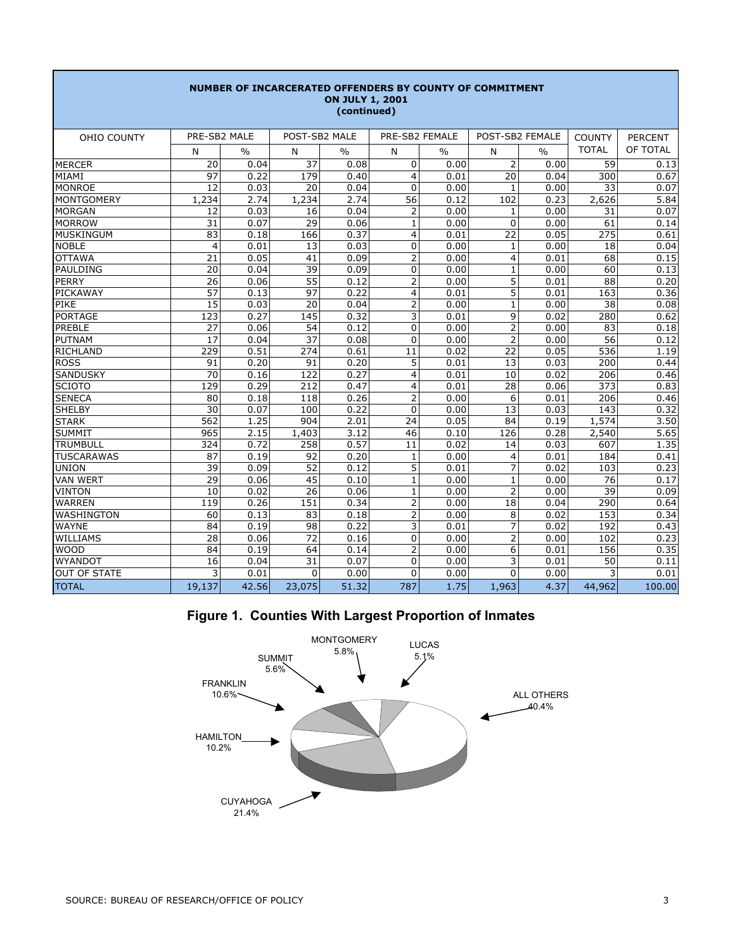| NUMBER OF INCARCERATED OFFENDERS BY COUNTY OF COMMITMENT<br><b>ON JULY 1, 2001</b><br>(continued) |                |               |                 |               |                |               |                 |               |               |                |  |  |  |  |
|---------------------------------------------------------------------------------------------------|----------------|---------------|-----------------|---------------|----------------|---------------|-----------------|---------------|---------------|----------------|--|--|--|--|
| <b>OHIO COUNTY</b>                                                                                | PRE-SB2 MALE   |               | POST-SB2 MALE   |               | PRE-SB2 FEMALE |               | POST-SB2 FEMALE |               | <b>COUNTY</b> | <b>PERCENT</b> |  |  |  |  |
|                                                                                                   | N              | $\frac{0}{0}$ | N               | $\frac{0}{0}$ | N              | $\frac{0}{0}$ | N               | $\frac{0}{0}$ | <b>TOTAL</b>  | OF TOTAL       |  |  |  |  |
| <b>MERCER</b>                                                                                     | 20             | 0.04          | 37              | 0.08          | 0              | 0.00          | $\overline{2}$  | 0.00          | 59            | 0.13           |  |  |  |  |
| MIAMI                                                                                             | 97             | 0.22          | 179             | 0.40          | $\overline{4}$ | 0.01          | 20              | 0.04          | 300           | 0.67           |  |  |  |  |
| <b>MONROE</b>                                                                                     | 12             | 0.03          | 20              | 0.04          | $\mathbf{0}$   | 0.00          | $\mathbf{1}$    | 0.00          | 33            | 0.07           |  |  |  |  |
| <b>MONTGOMERY</b>                                                                                 | 1,234          | 2.74          | 1,234           | 2.74          | 56             | 0.12          | 102             | 0.23          | 2,626         | 5.84           |  |  |  |  |
| <b>MORGAN</b>                                                                                     | 12             | 0.03          | 16              | 0.04          | $\overline{2}$ | 0.00          | $\mathbf{1}$    | 0.00          | 31            | 0.07           |  |  |  |  |
| <b>MORROW</b>                                                                                     | 31             | 0.07          | 29              | 0.06          | $\mathbf{1}$   | 0.00          | $\mathbf 0$     | 0.00          | 61            | 0.14           |  |  |  |  |
| <b>MUSKINGUM</b>                                                                                  | 83             | 0.18          | 166             | 0.37          | 4              | 0.01          | 22              | 0.05          | 275           | 0.61           |  |  |  |  |
| <b>NOBLE</b>                                                                                      | $\overline{4}$ | 0.01          | 13              | 0.03          | 0              | 0.00          | $\mathbf{1}$    | 0.00          | 18            | 0.04           |  |  |  |  |
| <b>OTTAWA</b>                                                                                     | 21             | 0.05          | 41              | 0.09          | $\overline{2}$ | 0.00          | $\overline{4}$  | 0.01          | 68            | 0.15           |  |  |  |  |
| <b>PAULDING</b>                                                                                   | 20             | 0.04          | 39              | 0.09          | 0              | 0.00          | $\mathbf{1}$    | 0.00          | 60            | 0.13           |  |  |  |  |
| <b>PERRY</b>                                                                                      | 26             | 0.06          | 55              | 0.12          | $\overline{2}$ | 0.00          | 5               | 0.01          | 88            | 0.20           |  |  |  |  |
| PICKAWAY                                                                                          | 57             | 0.13          | 97              | 0.22          | 4              | 0.01          | 5               | 0.01          | 163           | 0.36           |  |  |  |  |
| PIKE                                                                                              | 15             | 0.03          | 20              | 0.04          | $\overline{2}$ | 0.00          | $\mathbf{1}$    | 0.00          | 38            | 0.08           |  |  |  |  |
| <b>PORTAGE</b>                                                                                    | 123            | 0.27          | 145             | 0.32          | 3              | 0.01          | 9               | 0.02          | 280           | 0.62           |  |  |  |  |
| PREBLE                                                                                            | 27             | 0.06          | 54              | 0.12          | $\overline{0}$ | 0.00          | $\overline{2}$  | 0.00          | 83            | 0.18           |  |  |  |  |
| <b>PUTNAM</b>                                                                                     | 17             | 0.04          | 37              | 0.08          | 0              | 0.00          | $\overline{2}$  | 0.00          | 56            | 0.12           |  |  |  |  |
| <b>RICHLAND</b>                                                                                   | 229            | 0.51          | 274             | 0.61          | 11             | 0.02          | 22              | 0.05          | 536           | 1.19           |  |  |  |  |
| <b>ROSS</b>                                                                                       | 91             | 0.20          | 91              | 0.20          | 5              | 0.01          | 13              | 0.03          | 200           | 0.44           |  |  |  |  |
| <b>SANDUSKY</b>                                                                                   | 70             | 0.16          | 122             | 0.27          | $\overline{4}$ | 0.01          | 10              | 0.02          | 206           | 0.46           |  |  |  |  |
| <b>SCIOTO</b>                                                                                     | 129            | 0.29          | 212             | 0.47          | 4              | 0.01          | 28              | 0.06          | 373           | 0.83           |  |  |  |  |
| <b>SENECA</b>                                                                                     | 80             | 0.18          | 118             | 0.26          | $\overline{2}$ | 0.00          | 6               | 0.01          | 206           | 0.46           |  |  |  |  |
| <b>SHELBY</b>                                                                                     | 30             | 0.07          | 100             | 0.22          | 0              | 0.00          | 13              | 0.03          | 143           | 0.32           |  |  |  |  |
| <b>STARK</b>                                                                                      | 562            | 1.25          | 904             | 2.01          | 24             | 0.05          | 84              | 0.19          | 1,574         | 3.50           |  |  |  |  |
| <b>SUMMIT</b>                                                                                     | 965            | 2.15          | 1,403           | 3.12          | 46             | 0.10          | 126             | 0.28          | 2,540         | 5.65           |  |  |  |  |
| <b>TRUMBULL</b>                                                                                   | 324            | 0.72          | 258             | 0.57          | 11             | 0.02          | 14              | 0.03          | 607           | 1.35           |  |  |  |  |
| <b>TUSCARAWAS</b>                                                                                 | 87             | 0.19          | 92              | 0.20          | $\mathbf{1}$   | 0.00          | $\overline{4}$  | 0.01          | 184           | 0.41           |  |  |  |  |
| <b>UNION</b>                                                                                      | 39             | 0.09          | 52              | 0.12          | 5              | 0.01          | $\overline{7}$  | 0.02          | 103           | 0.23           |  |  |  |  |
| <b>VAN WERT</b>                                                                                   | 29             | 0.06          | 45              | 0.10          | $\mathbf{1}$   | 0.00          | $\mathbf{1}$    | 0.00          | 76            | 0.17           |  |  |  |  |
| <b>VINTON</b>                                                                                     | 10             | 0.02          | $\overline{26}$ | 0.06          | $\mathbf{1}$   | 0.00          | $\overline{2}$  | 0.00          | 39            | 0.09           |  |  |  |  |
| <b>WARREN</b>                                                                                     | 119            | 0.26          | 151             | 0.34          | $\overline{2}$ | 0.00          | 18              | 0.04          | 290           | 0.64           |  |  |  |  |
| <b>WASHINGTON</b>                                                                                 | 60             | 0.13          | 83              | 0.18          | $\overline{2}$ | 0.00          | 8               | 0.02          | 153           | 0.34           |  |  |  |  |
| <b>WAYNE</b>                                                                                      | 84             | 0.19          | 98              | 0.22          | 3              | 0.01          | $\overline{7}$  | 0.02          | 192           | 0.43           |  |  |  |  |
| <b>WILLIAMS</b>                                                                                   | 28             | 0.06          | 72              | 0.16          | 0              | 0.00          | $\overline{2}$  | 0.00          | 102           | 0.23           |  |  |  |  |
| <b>WOOD</b>                                                                                       | 84             | 0.19          | 64              | 0.14          | 2              | 0.00          | 6               | 0.01          | 156           | 0.35           |  |  |  |  |
| <b>WYANDOT</b>                                                                                    | 16             | 0.04          | 31              | 0.07          | 0              | 0.00          | 3               | 0.01          | 50            | 0.11           |  |  |  |  |
| <b>OUT OF STATE</b>                                                                               | 3              | 0.01          | $\mathbf{0}$    | 0.00          | 0              | 0.00          | $\Omega$        | 0.00          | 3             | 0.01           |  |  |  |  |
| <b>TOTAL</b>                                                                                      | 19,137         | 42.56         | 23,075          | 51.32         | 787            | 1.75          | 1,963           | 4.37          | 44,962        | 100.00         |  |  |  |  |

# **Figure 1. Counties With Largest Proportion of Inmates**

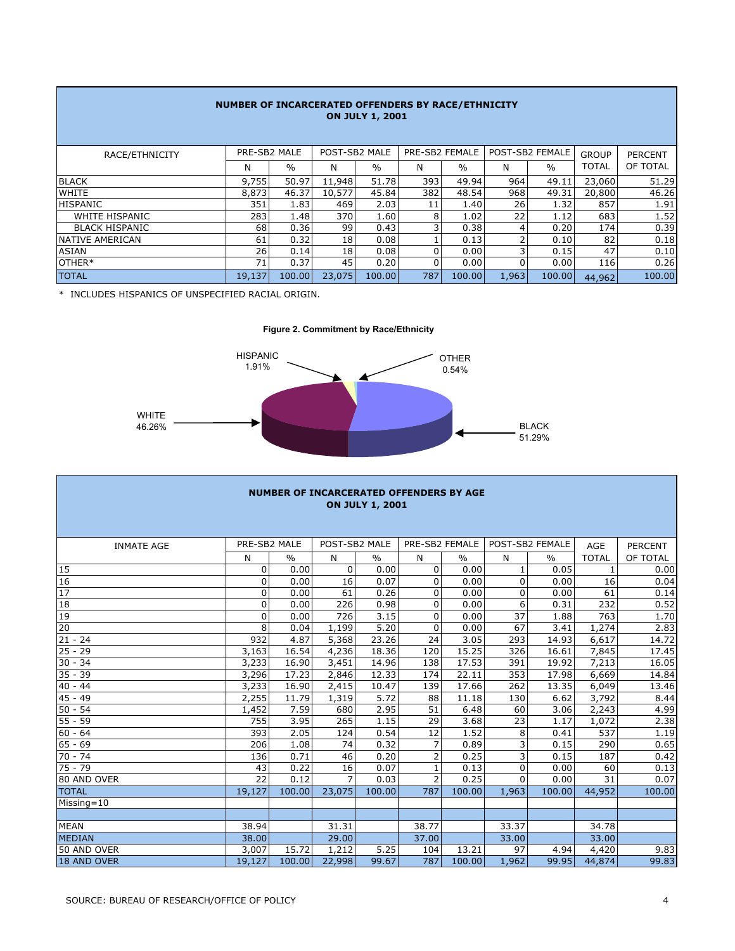|                        | NUMBER OF INCARCERATED OFFENDERS BY RACE/ETHNICITY<br><b>ON JULY 1, 2001</b> |               |               |               |                |               |       |                 |              |                |  |  |  |  |  |
|------------------------|------------------------------------------------------------------------------|---------------|---------------|---------------|----------------|---------------|-------|-----------------|--------------|----------------|--|--|--|--|--|
| RACE/ETHNICITY         | PRE-SB2 MALE                                                                 |               | POST-SB2 MALE |               | PRE-SB2 FEMALE |               |       | POST-SB2 FEMALE | <b>GROUP</b> | <b>PERCENT</b> |  |  |  |  |  |
|                        | N                                                                            | $\frac{0}{0}$ | N             | $\frac{0}{0}$ | N              | $\frac{0}{0}$ | Ν     | $\frac{0}{0}$   | <b>TOTAL</b> | OF TOTAL       |  |  |  |  |  |
| <b>BLACK</b>           | 9,755                                                                        | 50.97         | 11,948        | 51.78         | 393            | 49.94         | 964   | 49.11           | 23,060       | 51.29          |  |  |  |  |  |
| <b>WHITE</b>           | 8,873                                                                        | 46.37         | 10,577        | 45.84         | 382            | 48.54         | 968   | 49.31           | 20,800       | 46.26          |  |  |  |  |  |
| <b>HISPANIC</b>        | 351                                                                          | 1.83          | 469           | 2.03          | 11             | 1.40          | 26    | 1.32            | 857          | 1.91           |  |  |  |  |  |
| WHITE HISPANIC         | 283                                                                          | 1.48          | 370           | 1.60          | 8              | 1.02          | 22    | 1.12            | 683          | 1.52           |  |  |  |  |  |
| <b>BLACK HISPANIC</b>  | 68                                                                           | 0.36          | 99            | 0.43          |                | 0.38          | 4     | 0.20            | 174          | 0.39           |  |  |  |  |  |
| <b>NATIVE AMERICAN</b> | 61                                                                           | 0.32          | 18            | 0.08          |                | 0.13          | ∍     | 0.10            | 82           | 0.18           |  |  |  |  |  |
| ASIAN                  | 26                                                                           | 0.14          | 18            | 0.08          | 0              | 0.00          | 3     | 0.15            | 47           | 0.10           |  |  |  |  |  |
| OTHER*                 | 71                                                                           | 0.37          | 45            | 0.20          | 0              | 0.00          | 0     | 0.00            | 116          | 0.26           |  |  |  |  |  |
| <b>TOTAL</b>           | 19,137                                                                       | 100.00        | 23,075        | 100.00        | 787            | 100.00        | 1,963 | 100.00          | 44,962       | 100.00         |  |  |  |  |  |

\* INCLUDES HISPANICS OF UNSPECIFIED RACIAL ORIGIN.





|                    | <b>NUMBER OF INCARCERATED OFFENDERS BY AGE</b><br><b>ON JULY 1, 2001</b> |               |               |               |                |               |              |                 |              |                |  |  |  |  |  |
|--------------------|--------------------------------------------------------------------------|---------------|---------------|---------------|----------------|---------------|--------------|-----------------|--------------|----------------|--|--|--|--|--|
| <b>INMATE AGE</b>  | PRE-SB2 MALE                                                             |               | POST-SB2 MALE |               | PRE-SB2 FEMALE |               |              | POST-SB2 FEMALE | <b>AGE</b>   | <b>PERCENT</b> |  |  |  |  |  |
|                    | N                                                                        | $\frac{0}{0}$ | N             | $\frac{0}{0}$ | N              | $\frac{0}{0}$ | N            | $\frac{0}{0}$   | <b>TOTAL</b> | OF TOTAL       |  |  |  |  |  |
| 15                 | 0                                                                        | 0.00          | 0             | 0.00          | $\Omega$       | 0.00          | $\mathbf{1}$ | 0.05            |              | 0.00           |  |  |  |  |  |
| 16                 | $\overline{0}$                                                           | 0.00          | 16            | 0.07          | $\Omega$       | 0.00          | $\Omega$     | 0.00            | 16           | 0.04           |  |  |  |  |  |
| 17                 | 0                                                                        | 0.00          | 61            | 0.26          | $\mathbf 0$    | 0.00          | $\mathbf 0$  | 0.00            | 61           | 0.14           |  |  |  |  |  |
| 18                 | $\Omega$                                                                 | 0.00          | 226           | 0.98          | $\Omega$       | 0.00          | 6            | 0.31            | 232          | 0.52           |  |  |  |  |  |
| 19                 | 0                                                                        | 0.00          | 726           | 3.15          | $\mathbf 0$    | 0.00          | 37           | 1.88            | 763          | 1.70           |  |  |  |  |  |
| 20                 | 8                                                                        | 0.04          | 1,199         | 5.20          | $\mathbf 0$    | 0.00          | 67           | 3.41            | 1,274        | 2.83           |  |  |  |  |  |
| $21 - 24$          | 932                                                                      | 4.87          | 5,368         | 23.26         | 24             | 3.05          | 293          | 14.93           | 6,617        | 14.72          |  |  |  |  |  |
| $25 - 29$          | 3,163                                                                    | 16.54         | 4,236         | 18.36         | 120            | 15.25         | 326          | 16.61           | 7,845        | 17.45          |  |  |  |  |  |
| $30 - 34$          | 3,233                                                                    | 16.90         | 3,451         | 14.96         | 138            | 17.53         | 391          | 19.92           | 7,213        | 16.05          |  |  |  |  |  |
| $35 - 39$          | 3,296                                                                    | 17.23         | 2,846         | 12.33         | 174            | 22.11         | 353          | 17.98           | 6,669        | 14.84          |  |  |  |  |  |
| $40 - 44$          | 3,233                                                                    | 16.90         | 2,415         | 10.47         | 139            | 17.66         | 262          | 13.35           | 6,049        | 13.46          |  |  |  |  |  |
| $45 - 49$          | 2,255                                                                    | 11.79         | 1,319         | 5.72          | 88             | 11.18         | 130          | 6.62            | 3,792        | 8.44           |  |  |  |  |  |
| $50 - 54$          | 1,452                                                                    | 7.59          | 680           | 2.95          | 51             | 6.48          | 60           | 3.06            | 2,243        | 4.99           |  |  |  |  |  |
| $55 - 59$          | 755                                                                      | 3.95          | 265           | 1.15          | 29             | 3.68          | 23           | 1.17            | 1,072        | 2.38           |  |  |  |  |  |
| $60 - 64$          | 393                                                                      | 2.05          | 124           | 0.54          | 12             | 1.52          | 8            | 0.41            | 537          | 1.19           |  |  |  |  |  |
| $65 - 69$          | 206                                                                      | 1.08          | 74            | 0.32          | $\overline{7}$ | 0.89          | 3            | 0.15            | 290          | 0.65           |  |  |  |  |  |
| $70 - 74$          | 136                                                                      | 0.71          | 46            | 0.20          | $\overline{2}$ | 0.25          | 3            | 0.15            | 187          | 0.42           |  |  |  |  |  |
| $75 - 79$          | 43                                                                       | 0.22          | 16            | 0.07          | $\mathbf{1}$   | 0.13          | 0            | 0.00            | 60           | 0.13           |  |  |  |  |  |
| 80 AND OVER        | 22                                                                       | 0.12          |               | 0.03          | $\overline{2}$ | 0.25          | $\Omega$     | 0.00            | 31           | 0.07           |  |  |  |  |  |
| <b>TOTAL</b>       | 19,127                                                                   | 100.00        | 23,075        | 100.00        | 787            | 100.00        | 1,963        | 100.00          | 44,952       | 100.00         |  |  |  |  |  |
| Missing=10         |                                                                          |               |               |               |                |               |              |                 |              |                |  |  |  |  |  |
|                    |                                                                          |               |               |               |                |               |              |                 |              |                |  |  |  |  |  |
| <b>MEAN</b>        | 38.94                                                                    |               | 31.31         |               | 38.77          |               | 33.37        |                 | 34.78        |                |  |  |  |  |  |
| <b>MEDIAN</b>      | 38.00                                                                    |               | 29.00         |               | 37.00          |               | 33.00        |                 | 33.00        |                |  |  |  |  |  |
| 50 AND OVER        | 3,007                                                                    | 15.72         | 1,212         | 5.25          | 104            | 13.21         | 97           | 4.94            | 4,420        | 9.83           |  |  |  |  |  |
| <b>18 AND OVER</b> | 19,127                                                                   | 100.00        | 22,998        | 99.67         | 787            | 100.00        | 1,962        | 99.95           | 44,874       | 99.83          |  |  |  |  |  |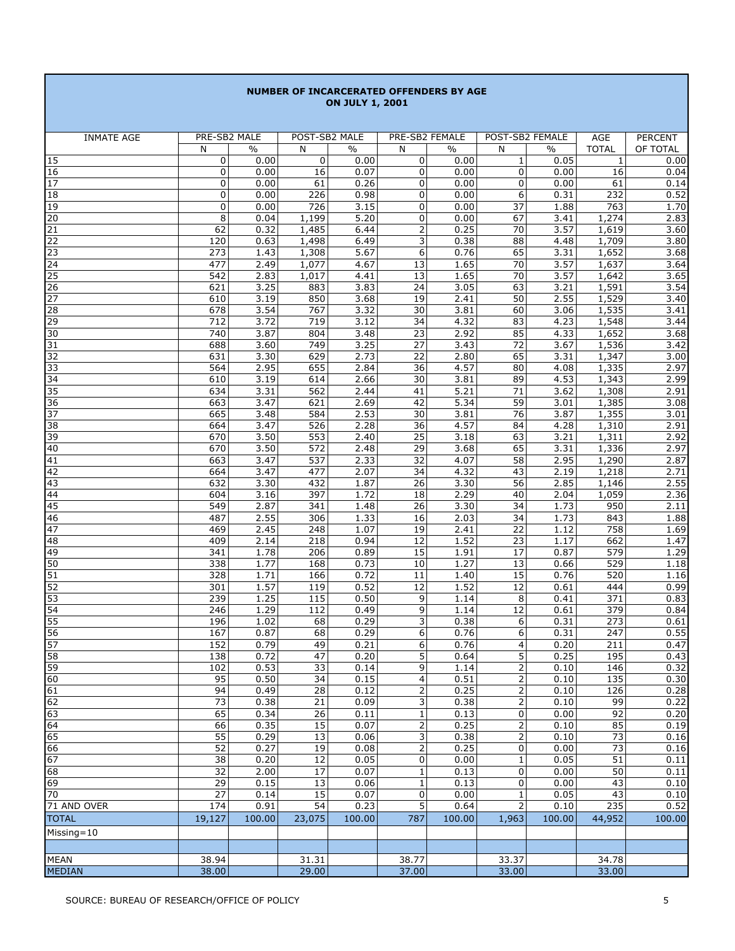#### **NUMBER OF INCARCERATED OFFENDERS BY AGE ON JULY 1, 2001**

| <b>INMATE AGE</b> | PRE-SB2 MALE     |               | POST-SB2 MALE   |              | PRE-SB2 FEMALE        |               | POST-SB2 FEMALE       |               | AGE              | PERCENT      |
|-------------------|------------------|---------------|-----------------|--------------|-----------------------|---------------|-----------------------|---------------|------------------|--------------|
|                   | N                | $\frac{0}{0}$ | N               | $\%$         | N                     | $\frac{0}{0}$ | N                     | $\frac{0}{0}$ | <b>TOTAL</b>     | OF TOTAL     |
| 15                | $\pmb{0}$        | 0.00          | 0               | 0.00         | 0                     | 0.00          | $1\,$                 | 0.05          | 1                | 0.00         |
| 16                | 0                | 0.00          | 16              | 0.07         | 0                     | 0.00          | 0                     | 0.00          | 16               | 0.04         |
| 17                | 0                | 0.00          | 61              | 0.26         | $\mathbf 0$           | 0.00          | $\mathbf 0$           | 0.00          | 61               | 0.14         |
| 18                | 0                | 0.00          | 226             | 0.98         | 0                     | 0.00          | 6                     | 0.31          | 232              | 0.52         |
| 19                | 0                | 0.00          | 726             | 3.15<br>5.20 | 0<br>$\mathbf 0$      | 0.00          | 37<br>67              | 1.88          | 763              | 1.70         |
| 20<br>21          | 8<br>62          | 0.04<br>0.32  | 1,199<br>1,485  | 6.44         | $\mathbf 2$           | 0.00<br>0.25  | 70                    | 3.41<br>3.57  | 1,274<br>1,619   | 2.83<br>3.60 |
| 22                | 120              | 0.63          | 1,498           | 6.49         | 3                     | 0.38          | 88                    | 4.48          | 1,709            | 3.80         |
| $\overline{23}$   | $\overline{273}$ | 1.43          | 1,308           | 5.67         | 6                     | 0.76          | 65                    | 3.31          | 1,652            | 3.68         |
| 24                | 477              | 2.49          | 1,077           | 4.67         | 13                    | 1.65          | 70                    | 3.57          | 1,637            | 3.64         |
| 25                | 542              | 2.83          | 1,017           | 4.41         | 13                    | 1.65          | 70                    | 3.57          | 1,642            | 3.65         |
| 26                | 621              | 3.25          | 883             | 3.83         | 24                    | 3.05          | 63                    | 3.21          | 1,591            | 3.54         |
| 27                | 610              | 3.19          | 850             | 3.68         | 19                    | 2.41          | 50                    | 2.55          | 1,529            | 3.40         |
| 28                | 678              | 3.54          | 767             | 3.32         | $\overline{30}$       | 3.81          | 60                    | 3.06          | 1,535            | 3.41         |
| 29                | 712              | 3.72          | 719             | 3.12         | 34                    | 4.32          | 83                    | 4.23          | 1,548            | 3.44         |
| 30                | 740              | 3.87          | 804             | 3.48         | 23                    | 2.92          | 85                    | 4.33          | 1,652            | 3.68         |
| 31                | 688<br>631       | 3.60<br>3.30  | 749<br>629      | 3.25<br>2.73 | $\overline{27}$<br>22 | 3.43<br>2.80  | 72<br>65              | 3.67<br>3.31  | 1,536<br>1,347   | 3.42<br>3.00 |
| 32<br>33          | 564              | 2.95          | 655             | 2.84         | $\overline{36}$       | 4.57          | 80                    | 4.08          | 1,335            | 2.97         |
| 34                | 610              | 3.19          | 614             | 2.66         | 30                    | 3.81          | 89                    | 4.53          | 1,343            | 2.99         |
| 35                | 634              | 3.31          | 562             | 2.44         | 41                    | 5.21          | 71                    | 3.62          | 1,308            | 2.91         |
| 36                | 663              | 3.47          | 621             | 2.69         | 42                    | 5.34          | 59                    | 3.01          | 1,385            | 3.08         |
| 37                | 665              | 3.48          | 584             | 2.53         | 30                    | 3.81          | 76                    | 3.87          | 1,355            | 3.01         |
| 38                | 664              | 3.47          | 526             | 2.28         | $\overline{36}$       | 4.57          | 84                    | 4.28          | 1,310            | 2.91         |
| 39                | 670              | 3.50          | 553             | 2.40         | 25                    | 3.18          | 63                    | 3.21          | 1,311            | 2.92         |
| 40                | 670              | 3.50          | 572             | 2.48         | 29                    | 3.68          | 65                    | 3.31          | 1,336            | 2.97         |
| 41                | 663              | 3.47          | 537             | 2.33         | 32                    | 4.07          | 58                    | 2.95          | 1,290            | 2.87         |
| 42                | 664              | 3.47          | 477             | 2.07         | 34                    | 4.32          | 43                    | 2.19          | 1,218            | 2.71         |
| 43<br>44          | 632<br>604       | 3.30<br>3.16  | 432<br>397      | 1.87<br>1.72 | $\overline{26}$<br>18 | 3.30<br>2.29  | $\overline{56}$<br>40 | 2.85<br>2.04  | 1,146<br>1,059   | 2.55<br>2.36 |
| 45                | 549              | 2.87          | 341             | 1.48         | 26                    | 3.30          | 34                    | 1.73          | 950              | 2.11         |
| 46                | 487              | 2.55          | 306             | 1.33         | 16                    | 2.03          | 34                    | 1.73          | 843              | 1.88         |
| 47                | 469              | 2.45          | 248             | 1.07         | 19                    | 2.41          | 22                    | 1.12          | 758              | 1.69         |
| $\overline{48}$   | 409              | 2.14          | 218             | 0.94         | $\overline{12}$       | 1.52          | $\overline{23}$       | 1.17          | 662              | 1.47         |
| 49                | 341              | 1.78          | 206             | 0.89         | 15                    | 1.91          | 17                    | 0.87          | 579              | 1.29         |
| 50                | 338              | 1.77          | 168             | 0.73         | 10                    | 1.27          | 13                    | 0.66          | 529              | 1.18         |
| 51                | 328              | 1.71          | 166             | 0.72         | 11                    | 1.40          | 15                    | 0.76          | 520              | 1.16         |
| 52                | 301              | 1.57          | 119             | 0.52         | 12                    | 1.52          | 12                    | 0.61          | 444              | 0.99         |
| 53                | 239              | 1.25          | 115             | 0.50         | 9                     | 1.14<br>1.14  | 8<br>12               | 0.41          | $\overline{371}$ | 0.83         |
| 54<br>55          | 246<br>196       | 1.29<br>1.02  | 112<br>68       | 0.49<br>0.29 | 9<br>3                | 0.38          | 6                     | 0.61<br>0.31  | 379<br>273       | 0.84<br>0.61 |
| 56                | 167              | 0.87          | 68              | 0.29         | 6                     | 0.76          | 6                     | 0.31          | 247              | 0.55         |
| 57                | 152              | 0.79          | 49              | 0.21         | 6                     | 0.76          | 4                     | 0.20          | 211              | 0.47         |
| 58                | 138              | 0.72          | 47              | 0.20         | 5                     | 0.64          | 5                     | 0.25          | 195              | 0.43         |
| 59                | 102              | 0.53          | 33              | 0.14         | $\overline{9}$        | 1.14          | 2                     | 0.10          | 146              | 0.32         |
| 60                | 95               | 0.50          | 34              | 0.15         | $\overline{4}$        | 0.51          | $\overline{2}$        | 0.10          | 135              | 0.30         |
| 61                | 94               | 0.49          | 28              | 0.12         | 2                     | 0.25          | 2                     | 0.10          | 126              | 0.28         |
| 62                | 73               | 0.38          | 21              | 0.09         | 3                     | 0.38          | 2                     | 0.10          | 99               | 0.22         |
| 63                | 65               | 0.34          | $\overline{26}$ | 0.11         | $\mathbf 1$           | 0.13          | $\pmb{0}$             | 0.00          | 92               | 0.20         |
| 64<br>65          | 66               | 0.35          | 15              | 0.07         | $\mathbf{2}$          | 0.25          | 2                     | 0.10          | 85               | 0.19         |
| 66                | 55<br>52         | 0.29<br>0.27  | 13<br>19        | 0.06<br>0.08 | 3<br>2                | 0.38<br>0.25  | $\pmb{0}$             | 0.10<br>0.00  | 73<br>73         | 0.16<br>0.16 |
| 67                | 38               | 0.20          | 12              | 0.05         | 0                     | 0.00          | $\mathbf{1}$          | 0.05          | 51               | 0.11         |
| 68                | $\overline{32}$  | 2.00          | 17              | 0.07         | $\mathbf 1$           | 0.13          | $\pmb{0}$             | 0.00          | 50               | 0.11         |
| 69                | 29               | 0.15          | 13              | 0.06         | $1\,$                 | 0.13          | 0                     | 0.00          | 43               | 0.10         |
| 70                | 27               | 0.14          | 15              | 0.07         | $\mathbf 0$           | 0.00          | $\mathbf{1}$          | 0.05          | 43               | 0.10         |
| 71 AND OVER       | 174              | 0.91          | 54              | 0.23         | 5                     | 0.64          | 2                     | 0.10          | 235              | 0.52         |
| <b>TOTAL</b>      | 19,127           | 100.00        | 23,075          | 100.00       | 787                   | 100.00        | 1,963                 | 100.00        | 44,952           | 100.00       |
| Missing=10        |                  |               |                 |              |                       |               |                       |               |                  |              |
|                   |                  |               |                 |              |                       |               |                       |               |                  |              |
| MEAN              | 38.94            |               | 31.31           |              | 38.77                 |               | 33.37                 |               | 34.78            |              |
| <b>MEDIAN</b>     | 38.00            |               | 29.00           |              | 37.00                 |               | 33.00                 |               | 33.00            |              |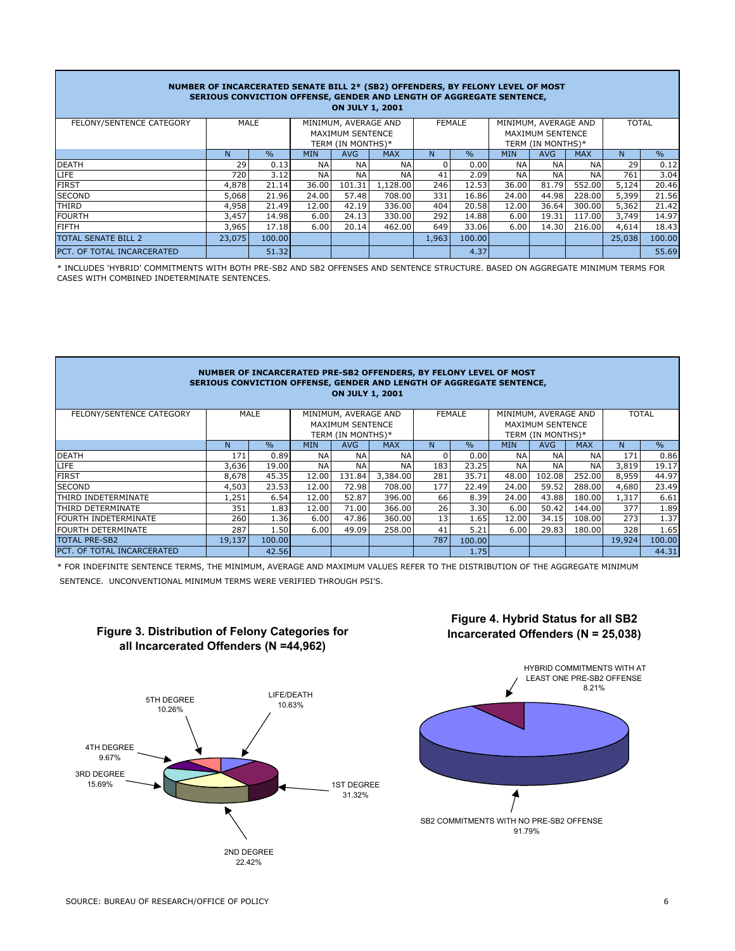|                                                                                                   |        |                                       |            | <b>ON JULY 1, 2001</b> | NUMBER OF INCARCERATED SENATE BILL 2* (SB2) OFFENDERS, BY FELONY LEVEL OF MOST<br>SERIOUS CONVICTION OFFENSE, GENDER AND LENGTH OF AGGREGATE SENTENCE, |       |               |              |                                              |            |        |               |
|---------------------------------------------------------------------------------------------------|--------|---------------------------------------|------------|------------------------|--------------------------------------------------------------------------------------------------------------------------------------------------------|-------|---------------|--------------|----------------------------------------------|------------|--------|---------------|
| FELONY/SENTENCE CATEGORY<br>MALE<br>MINIMUM, AVERAGE AND<br>MINIMUM, AVERAGE AND<br><b>FEMALE</b> |        |                                       |            |                        |                                                                                                                                                        |       |               | <b>TOTAL</b> |                                              |            |        |               |
|                                                                                                   |        | MAXIMUM SENTENCE<br>TERM (IN MONTHS)* |            |                        |                                                                                                                                                        |       |               |              | <b>MAXIMUM SENTENCE</b><br>TERM (IN MONTHS)* |            |        |               |
|                                                                                                   | N.     | $\frac{0}{0}$                         | <b>MIN</b> | <b>AVG</b>             | <b>MAX</b>                                                                                                                                             | N     | $\frac{0}{0}$ | <b>MIN</b>   | <b>AVG</b>                                   | <b>MAX</b> | N      | $\frac{0}{0}$ |
| <b>DEATH</b>                                                                                      | 29     | 0.13                                  | <b>NA</b>  | <b>NA</b>              | <b>NA</b>                                                                                                                                              |       | 0.00          | <b>NA</b>    | <b>NA</b>                                    | <b>NA</b>  | 29     | 0.12          |
| <b>LIFE</b>                                                                                       | 720    | 3.12                                  | <b>NA</b>  | <b>NA</b>              | <b>NA</b>                                                                                                                                              | 41    | 2.09          | <b>NA</b>    | <b>NA</b>                                    | <b>NA</b>  | 761    | 3.04          |
| <b>FIRST</b>                                                                                      | 4,878  | 21.14                                 | 36.00      | 101.31                 | 1,128.00                                                                                                                                               | 246   | 12.53         | 36.00        | 81.79                                        | 552.00     | 5,124  | 20.46         |
| <b>SECOND</b>                                                                                     | 5,068  | 21.96                                 | 24.00      | 57.48                  | 708.00                                                                                                                                                 | 331   | 16.86         | 24.00        | 44.98                                        | 228.00     | 5,399  | 21.56         |
| <b>THIRD</b>                                                                                      | 4,958  | 21.49                                 | 12.00      | 42.19                  | 336.00                                                                                                                                                 | 404   | 20.58         | 12.00        | 36.64                                        | 300.00     | 5,362  | 21.42         |
| <b>FOURTH</b>                                                                                     | 3,457  | 14.98                                 | 6.00       | 24.13                  | 330.00                                                                                                                                                 | 292   | 14.88         | 6.00         | 19.31                                        | 117.00     | 3,749  | 14.97         |
| <b>FIFTH</b>                                                                                      | 3,965  | 17.18                                 | 6.00       | 20.14                  | 462.00                                                                                                                                                 | 649   | 33.06         | 6.00         | 14.30                                        | 216.00     | 4,614  | 18.43         |
| <b>TOTAL SENATE BILL 2</b>                                                                        | 23,075 | 100.00                                |            |                        |                                                                                                                                                        | 1,963 | 100.00        |              |                                              |            | 25,038 | 100.00        |
| PCT. OF TOTAL INCARCERATED                                                                        |        | 51.32                                 |            |                        |                                                                                                                                                        |       | 4.37          |              |                                              |            |        | 55.69         |

\* INCLUDES 'HYBRID' COMMITMENTS WITH BOTH PRE-SB2 AND SB2 OFFENSES AND SENTENCE STRUCTURE. BASED ON AGGREGATE MINIMUM TERMS FOR CASES WITH COMBINED INDETERMINATE SENTENCES.

|                             | NUMBER OF INCARCERATED PRE-SB2 OFFENDERS, BY FELONY LEVEL OF MOST<br>SERIOUS CONVICTION OFFENSE, GENDER AND LENGTH OF AGGREGATE SENTENCE,<br><b>ON JULY 1, 2001</b><br><b>MALE</b><br>MINIMUM, AVERAGE AND<br><b>FEMALE</b><br>MINIMUM, AVERAGE AND |               |            |                                              |            |          |                                              |            |            |            |              |               |  |  |  |
|-----------------------------|-----------------------------------------------------------------------------------------------------------------------------------------------------------------------------------------------------------------------------------------------------|---------------|------------|----------------------------------------------|------------|----------|----------------------------------------------|------------|------------|------------|--------------|---------------|--|--|--|
| FELONY/SENTENCE CATEGORY    |                                                                                                                                                                                                                                                     |               |            |                                              |            |          |                                              |            |            |            | <b>TOTAL</b> |               |  |  |  |
|                             |                                                                                                                                                                                                                                                     |               |            | <b>MAXIMUM SENTENCE</b><br>TERM (IN MONTHS)* |            |          | <b>MAXIMUM SENTENCE</b><br>TERM (IN MONTHS)* |            |            |            |              |               |  |  |  |
|                             | <sub>N</sub>                                                                                                                                                                                                                                        | $\frac{0}{0}$ | <b>MIN</b> | <b>AVG</b>                                   | <b>MAX</b> | N        | $\frac{0}{0}$                                | <b>MIN</b> | <b>AVG</b> | <b>MAX</b> | N.           | $\frac{0}{0}$ |  |  |  |
| <b>DEATH</b>                | 171                                                                                                                                                                                                                                                 | 0.89          | <b>NA</b>  | <b>NA</b>                                    | <b>NA</b>  | $\Omega$ | 0.00                                         | <b>NA</b>  | <b>NA</b>  | <b>NA</b>  | 171          | 0.86          |  |  |  |
| <b>LIFE</b>                 | 3,636                                                                                                                                                                                                                                               | 19.00         | <b>NA</b>  | <b>NA</b>                                    | <b>NA</b>  | 183      | 23.25                                        | <b>NA</b>  | <b>NA</b>  | <b>NA</b>  | 3,819        | 19.17         |  |  |  |
| <b>FIRST</b>                | 8,678                                                                                                                                                                                                                                               | 45.35         | 12.00      | 131.84                                       | 3,384.00   | 281      | 35.71                                        | 48.00      | 102.08     | 252.00     | 8,959        | 44.97         |  |  |  |
| <b>SECOND</b>               | 4,503                                                                                                                                                                                                                                               | 23.53         | 12.00      | 72.98                                        | 708.00     | 177      | 22.49                                        | 24.00      | 59.52      | 288.00     | 4,680        | 23.49         |  |  |  |
| <b>THIRD INDETERMINATE</b>  | 1,251                                                                                                                                                                                                                                               | 6.54          | 12.00      | 52.87                                        | 396.00     | 66       | 8.39                                         | 24.00      | 43.88      | 180.00     | 1,317        | 6.61          |  |  |  |
| ITHIRD DETERMINATE          | 351                                                                                                                                                                                                                                                 | 1.83          | 12.00      | 71.00                                        | 366.00     | 26       | 3.30                                         | 6.00       | 50.42      | 144.00     | 377          | 1.89          |  |  |  |
| <b>FOURTH INDETERMINATE</b> | 260                                                                                                                                                                                                                                                 | 1.36          | 6.00       | 47.86                                        | 360.00     | 13       | 1.65                                         | 12.00      | 34.15      | 108.00     | 273          | 1.37          |  |  |  |
| <b>FOURTH DETERMINATE</b>   | 287                                                                                                                                                                                                                                                 | 1.50          | 6.00       | 49.09                                        | 258.00     | 41       | 5.21                                         | 6.00       | 29.83      | 180.00     | 328          | 1.65          |  |  |  |
| <b>TOTAL PRE-SB2</b>        | 19,137                                                                                                                                                                                                                                              | 100.00        |            |                                              |            | 787      | 100.00                                       |            |            |            | 19,924       | 100.00        |  |  |  |
| PCT. OF TOTAL INCARCERATED  |                                                                                                                                                                                                                                                     | 42.56         |            |                                              |            |          | 1.75                                         |            |            |            |              | 44.31         |  |  |  |

\* FOR INDEFINITE SENTENCE TERMS, THE MINIMUM, AVERAGE AND MAXIMUM VALUES REFER TO THE DISTRIBUTION OF THE AGGREGATE MINIMUM SENTENCE. UNCONVENTIONAL MINIMUM TERMS WERE VERIFIED THROUGH PSI'S.



# **Figure 3. Distribution of Felony Categories for all Incarcerated Offenders (N =44,962)**



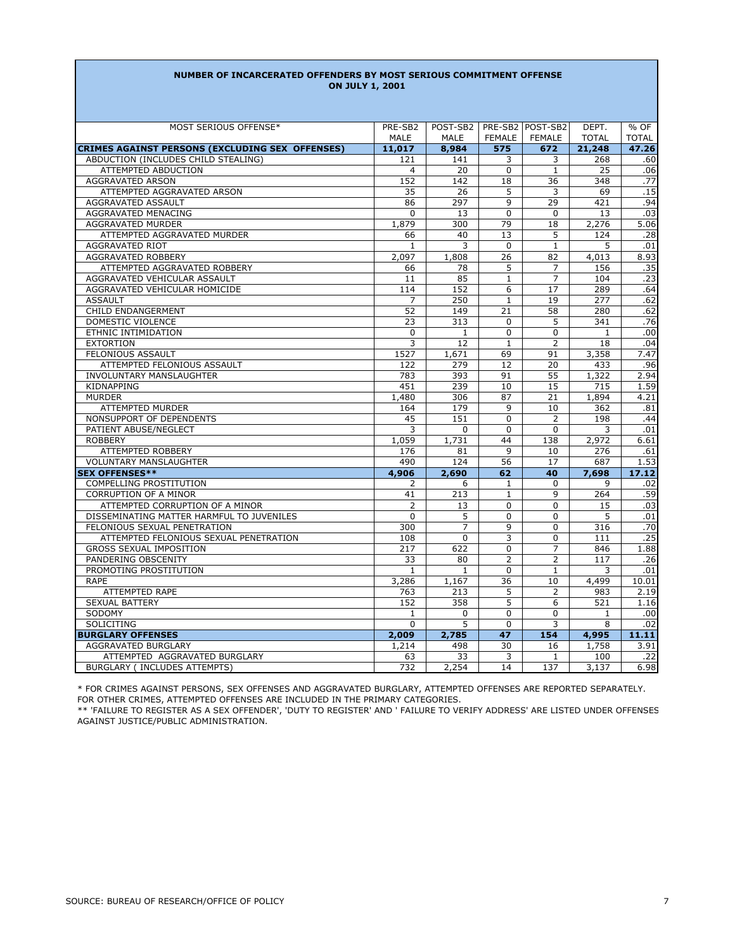### **NUMBER OF INCARCERATED OFFENDERS BY MOST SERIOUS COMMITMENT OFFENSE ON JULY 1, 2001**

| MOST SERIOUS OFFENSE*                                                                         | PRE-SB2        | POST-SB2       |                | PRE-SB2 POST-SB2 | DEPT.         | % OF         |
|-----------------------------------------------------------------------------------------------|----------------|----------------|----------------|------------------|---------------|--------------|
|                                                                                               | <b>MALE</b>    | <b>MALE</b>    | <b>FEMALE</b>  | FEMALE           | <b>TOTAL</b>  | <b>TOTAL</b> |
|                                                                                               |                |                |                |                  |               |              |
| <b>CRIMES AGAINST PERSONS (EXCLUDING SEX OFFENSES)</b><br>ABDUCTION (INCLUDES CHILD STEALING) | 11,017         | 8,984<br>141   | 575<br>3       | 672<br>3         | 21,248<br>268 | 47.26<br>.60 |
| ATTEMPTED ABDUCTION                                                                           | 121<br>4       | 20             | $\Omega$       | $\mathbf{1}$     | 25            |              |
| <b>AGGRAVATED ARSON</b>                                                                       | 152            | 142            | 18             | 36               | 348           | .06<br>.77   |
|                                                                                               |                |                |                |                  |               |              |
| ATTEMPTED AGGRAVATED ARSON                                                                    | 35             | 26             | 5<br>9         | 3                | 69            | .15          |
| AGGRAVATED ASSAULT                                                                            | 86             | 297            |                | 29               | 421           | .94          |
| AGGRAVATED MENACING                                                                           | 0              | 13             | $\mathbf 0$    | $\mathbf 0$      | 13            | .03          |
| AGGRAVATED MURDER                                                                             | 1,879          | 300            | 79             | 18               | 2,276         | 5.06         |
| ATTEMPTED AGGRAVATED MURDER                                                                   | 66             | 40             | 13             | 5                | 124           | .28          |
| <b>AGGRAVATED RIOT</b>                                                                        | $\mathbf{1}$   | 3              | $\Omega$       | $\mathbf{1}$     | 5             | .01          |
| AGGRAVATED ROBBERY                                                                            | 2,097          | 1,808          | 26             | 82               | 4,013         | 8.93         |
| ATTEMPTED AGGRAVATED ROBBERY                                                                  | 66             | 78             | 5              | 7                | 156           | .35          |
| AGGRAVATED VEHICULAR ASSAULT                                                                  | 11             | 85             | $\mathbf{1}$   | $\overline{7}$   | 104           | .23          |
| AGGRAVATED VEHICULAR HOMICIDE                                                                 | 114            | 152            | 6              | 17               | 289           | .64          |
| <b>ASSAULT</b>                                                                                | $\overline{7}$ | 250            | $\mathbf{1}$   | 19               | 277           | .62          |
| CHILD ENDANGERMENT                                                                            | 52             | 149            | 21             | 58               | 280           | .62          |
| DOMESTIC VIOLENCE                                                                             | 23             | 313            | $\Omega$       | 5                | 341           | .76          |
| ETHNIC INTIMIDATION                                                                           | $\mathbf 0$    | $\mathbf{1}$   | $\Omega$       | $\Omega$         | $\mathbf{1}$  | .00          |
| <b>EXTORTION</b>                                                                              | $\overline{3}$ | 12             | $\mathbf{1}$   | $\overline{2}$   | 18            | .04          |
| <b>FELONIOUS ASSAULT</b>                                                                      | 1527           | 1,671          | 69             | 91               | 3,358         | 7.47         |
| ATTEMPTED FELONIOUS ASSAULT                                                                   | 122            | 279            | 12             | 20               | 433           | .96          |
| INVOLUNTARY MANSLAUGHTER                                                                      | 783            | 393            | 91             | 55               | 1,322         | 2.94         |
| KIDNAPPING                                                                                    | 451            | 239            | 10             | 15               | 715           | 1.59         |
| <b>MURDER</b>                                                                                 | 1,480          | 306            | 87             | 21               | 1,894         | 4.21         |
| <b>ATTEMPTED MURDER</b>                                                                       | 164            | 179            | 9              | 10               | 362           | .81          |
| NONSUPPORT OF DEPENDENTS                                                                      | 45             | 151            | $\Omega$       | $\overline{2}$   | 198           | .44          |
| PATIENT ABUSE/NEGLECT                                                                         | 3              | $\mathbf 0$    | $\mathbf 0$    | 0                | 3             | .01          |
| <b>ROBBERY</b>                                                                                | 1,059          | 1,731          | 44             | 138              | 2,972         | 6.61         |
| <b>ATTEMPTED ROBBERY</b>                                                                      | 176            | 81             | $\mathbf{q}$   | 10               | 276           | .61          |
| <b>VOLUNTARY MANSLAUGHTER</b>                                                                 | 490            | 124            | 56             | 17               | 687           | 1.53         |
| <b>SEX OFFENSES**</b>                                                                         | 4,906          | 2,690          | 62             | 40               | 7,698         | 17.12        |
| <b>COMPELLING PROSTITUTION</b>                                                                | 2              | 6              | 1              | $\Omega$         | 9             | .02          |
| <b>CORRUPTION OF A MINOR</b>                                                                  | 41             | 213            | $\mathbf{1}$   | 9                | 264           | .59          |
| ATTEMPTED CORRUPTION OF A MINOR                                                               | $\overline{2}$ | 13             | $\Omega$       | $\Omega$         | 15            | .03          |
| DISSEMINATING MATTER HARMFUL TO JUVENILES                                                     | $\overline{0}$ | 5              | $\Omega$       | $\mathbf{0}$     | 5             | .01          |
| FELONIOUS SEXUAL PENETRATION                                                                  | 300            | $\overline{7}$ | 9              | $\Omega$         | 316           | .70          |
| ATTEMPTED FELONIOUS SEXUAL PENETRATION                                                        | 108            | $\Omega$       | 3              | $\Omega$         | 111           | .25          |
| <b>GROSS SEXUAL IMPOSITION</b>                                                                | 217            | 622            | $\mathbf 0$    | $\overline{7}$   | 846           | 1.88         |
| PANDERING OBSCENITY                                                                           | 33             | 80             | $\overline{2}$ | $\overline{2}$   | 117           | .26          |
| PROMOTING PROSTITUTION                                                                        | $\mathbf{1}$   | $\mathbf{1}$   | $\Omega$       | $\mathbf{1}$     | 3             | .01          |
| <b>RAPE</b>                                                                                   | 3,286          | 1,167          | 36             | 10               | 4,499         | 10.01        |
| ATTEMPTED RAPE                                                                                | 763            | 213            | 5              | $\overline{2}$   | 983           | 2.19         |
| <b>SEXUAL BATTERY</b>                                                                         | 152            | 358            | 5              | 6                | 521           | 1.16         |
| SODOMY                                                                                        | $\mathbf{1}$   | $\Omega$       | $\Omega$       | $\Omega$         | $\mathbf{1}$  | .00          |
| <b>SOLICITING</b>                                                                             | $\Omega$       | 5              | $\Omega$       | 3                | 8             | .02          |
| <b>BURGLARY OFFENSES</b>                                                                      | 2,009          | 2,785          | 47             | 154              | 4,995         | 11.11        |
| AGGRAVATED BURGLARY                                                                           | 1,214          | 498            | 30             | 16               | 1,758         | 3.91         |
| ATTEMPTED AGGRAVATED BURGLARY                                                                 | 63             | 33             | 3              | $\mathbf{1}$     | 100           | .22          |
| BURGLARY (INCLUDES ATTEMPTS)                                                                  | 732            | 2,254          | 14             | 137              | 3,137         | 6.98         |
|                                                                                               |                |                |                |                  |               |              |

\* FOR CRIMES AGAINST PERSONS, SEX OFFENSES AND AGGRAVATED BURGLARY, ATTEMPTED OFFENSES ARE REPORTED SEPARATELY. FOR OTHER CRIMES, ATTEMPTED OFFENSES ARE INCLUDED IN THE PRIMARY CATEGORIES.

\*\* 'FAILURE TO REGISTER AS A SEX OFFENDER', 'DUTY TO REGISTER' AND ' FAILURE TO VERIFY ADDRESS' ARE LISTED UNDER OFFENSES AGAINST JUSTICE/PUBLIC ADMINISTRATION.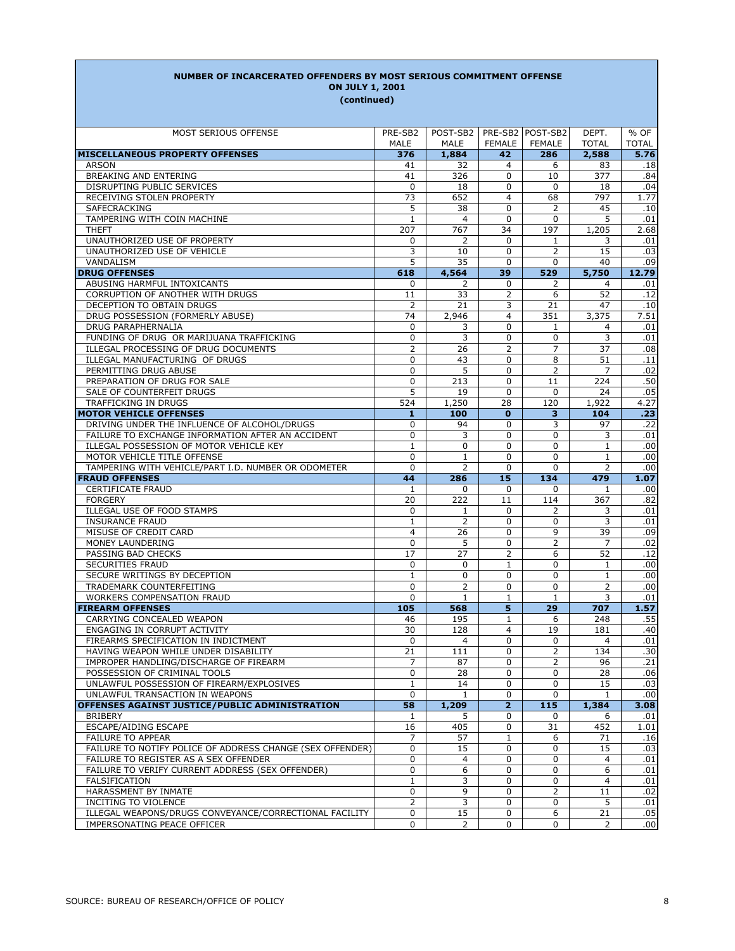#### MOST SERIOUS OFFENSE PRE-SB2 | POST-SB2 | PRE-SB2 | POST-SB2 | DEPT. | % OF TOTAL TOTAL **MISCELLANEOUS PROPERTY OFFENSES 376 1,884 42 286 2,588 5.76** ARSON 41 32 4 6 83 .18 BREAKING AND ENTERING **AND ENTERING 41** 326 0 10 377 .84 PUSRUPTING PUBLIC SERVICES and the control of the control of the control of the control of the control of the control of the control of the control of the control of the control of the control of the control of the control RECEIVING STOLEN PROPERTY 73 652 4 68 797 SAFECRACKING 5 38 0 2 45 .10 TAMPERING WITH COIN MACHINE **1** 4 0 0 5 .01 THEFT 207 767 34 197 1,205 2.68 UNAUTHORIZED USE OF PROPERTY 0 2 0 1 3 .01 UNAUTHORIZED USE OF VEHICLE **15** 03 VANDALISM 5 35 0 0 40 .09 **DRUG OFFENSES 618 4,564 39 529 5,750 12.79** ABUSING HARMFUL INTOXICANTS 0 2 0 2 4 .01 CORRUPTION OF ANOTHER WITH DRUGS 11 33 2 6 52 .12 DECEPTION TO OBTAIN DRUGS 2 21 3 21 47 .10 DRUG POSSESSION (FORMERLY ABUSE) 74 | 2,946 | 4 | 351 | 3,375 | 7.51 DRUG PARAPHERNALIA 0 3 0 1 4 .01 FUNDING OF DRUG OR MARIJUANA TRAFFICKING 0 3 0 0 3 .01 ILLEGAL PROCESSING OF DRUG DOCUMENTS 2 26 2 7 37 .08 ILLEGAL MANUFACTURING OF DRUGS 0 43 0 8 51 .11 PERMITTING DRUG ABUSE **0 3 0 2 7 .02**  PREPARATION OF DRUG FOR SALE 0 213 0 11 224 .50 SALE OF COUNTERFEIT DRUGS 5 19 0 0 24 .05 TRAFFICKING IN DRUGS **524** 1,250 28 120 1,922 4.27 **MOTOR VEHICLE OFFENSES 1 100 0 3 104 .23** DRIVING UNDER THE INFLUENCE OF ALCOHOL/DRUGS 0 94 0 3 97 .22 FAILURE TO EXCHANGE INFORMATION AFTER AN ACCIDENT 0 3 0 3 0 3 ILLEGAL POSSESSION OF MOTOR VEHICLE KEY 1 0 0 0 1 .00 MOTOR VEHICLE TITLE OFFENSE 0 1 0 0 1 .00 TAMPERING WITH VEHICLE/PART I.D. NUMBER OR ODOMETER 0 2 0 0 2 .00 **FRAUD OFFENSES 44 286 15 134 479 1.07** CERTIFICATE FRAUD 1 0 0 0 1 .00 82. | 20 | 222 | 11 | 114 | 367 | 382. | 367 | 382. | 20 | 222 | 322 | 322. | 367 | 367 | 382. | 382 ILLEGAL USE OF FOOD STAMPS 0 1 0 2 3 .01 INSURANCE FRAUD 1 2 0 0 3 .01 MISUSE OF CREDIT CARD **4** 26 0 9 39 .09 MONEY LAUNDERING 2 2 2 2 .02 PASSING BAD CHECKS 17 27 2 6 52 .12 SECURITIES FRAUD 0 0 1 0 1 .00 SECURE WRITINGS BY DECEPTION **1** 0 0 0 0 1 .00 TRADEMARK COUNTERFEITING  $\begin{array}{|c|c|c|c|c|c|c|c|c|} \hline 0 & 2 & 0 & 0 & 2 & 0 \ \hline \end{array}$  WORKERS COMPENSATION FRAUD 0 1 1 1 3 .01 **FIREARM OFFENSES 105 568 5 29 707 1.57** CARRYING CONCEALED WEAPON 46 195 1 6 248 .55 ENGAGING IN CORRUPT ACTIVITY AND RESOLUTION AND RESOLUTION OF THE RESOLUTION OF THE RESOLUTION OF THE RESOLUTIO FIREARMS SPECIFICATION IN INDICTMENT 0 4 0 0 4 .01 HAVING WEAPON WHILE UNDER DISABILITY 121 111 0 2 134 .30 TMPROPER HANDLING/DISCHARGE OF FIREARM <br>POSSESSION OF CRIMINAL TOOLS <br>0 28 0 0 28 .06 POSSESSION OF CRIMINAL TOOLS **0 28 0 0 28 28**  UNLAWFUL POSSESSION OF FIREARM/EXPLOSIVES 1 14 0 0 15 .03 UNLAWFUL TRANSACTION IN WEAPONS 0 1 0 0 1 .00 **OFFENSES AGAINST JUSTICE/PUBLIC ADMINISTRATION 58 1,209 2 115 1,384 3.08** BRIBERY 1 5 0 0 6 .01 ESCAPE/AIDING ESCAPE 16 405 0 31 452 1.01 FAILURE TO APPEAR 1 6 71 .16 FAILURE TO NOTIFY POLICE OF ADDRESS CHANGE (SEX OFFENDER) 0 15 0 0 15 .03 POST-SB2 MALE | MALE | FEMALE | FEMALE **(continued) ON JULY 1, 2001** PRE-SB2 POST-SB2

**NUMBER OF INCARCERATED OFFENDERS BY MOST SERIOUS COMMITMENT OFFENSE**

 FAILURE TO REGISTER AS A SEX OFFENDER 0 4 0 0 4 .01 FAILURE TO VERIFY CURRENT ADDRESS (SEX OFFENDER) 0 6 0 0 6 .01 10. | 1 | 3 | 0 | 0 | 4 | 0.11 | 3 | 0 | 0 | 4 | 0.11 | 1 | 3 | 0 | 0 | 0 | 1 HARASSMENT BY INMATE  $\begin{array}{|c|c|c|c|c|c|c|c|c|} \hline \rule{0pt}{1.2ex} & \rule{0pt}{2.2ex} & \rule{0pt}{2.2ex} & \rule{0pt}{2.2ex} & \rule{0pt}{2.2ex} & \rule{0pt}{2.2ex} & \rule{0pt}{2.2ex} & \rule{0pt}{2.2ex} & \rule{0pt}{2.2ex} & \rule{0pt}{2.2ex} & \rule{0pt}{2.2ex} & \rule{0pt}{2.2ex} & \rule{0pt}{2.2ex} & \rule{0pt}{2.2ex} & \rule{0$ INCITING TO VIOLENCE **19 CONTACT 1** 2 3 0 0 5 .01 ILLEGAL WEAPONS/DRUGS CONVEYANCE/CORRECTIONAL FACILITY | 0 | 15 0 6 21 .05 IMPERSONATING PEACE OFFICER 0 2 0 0 2 .00